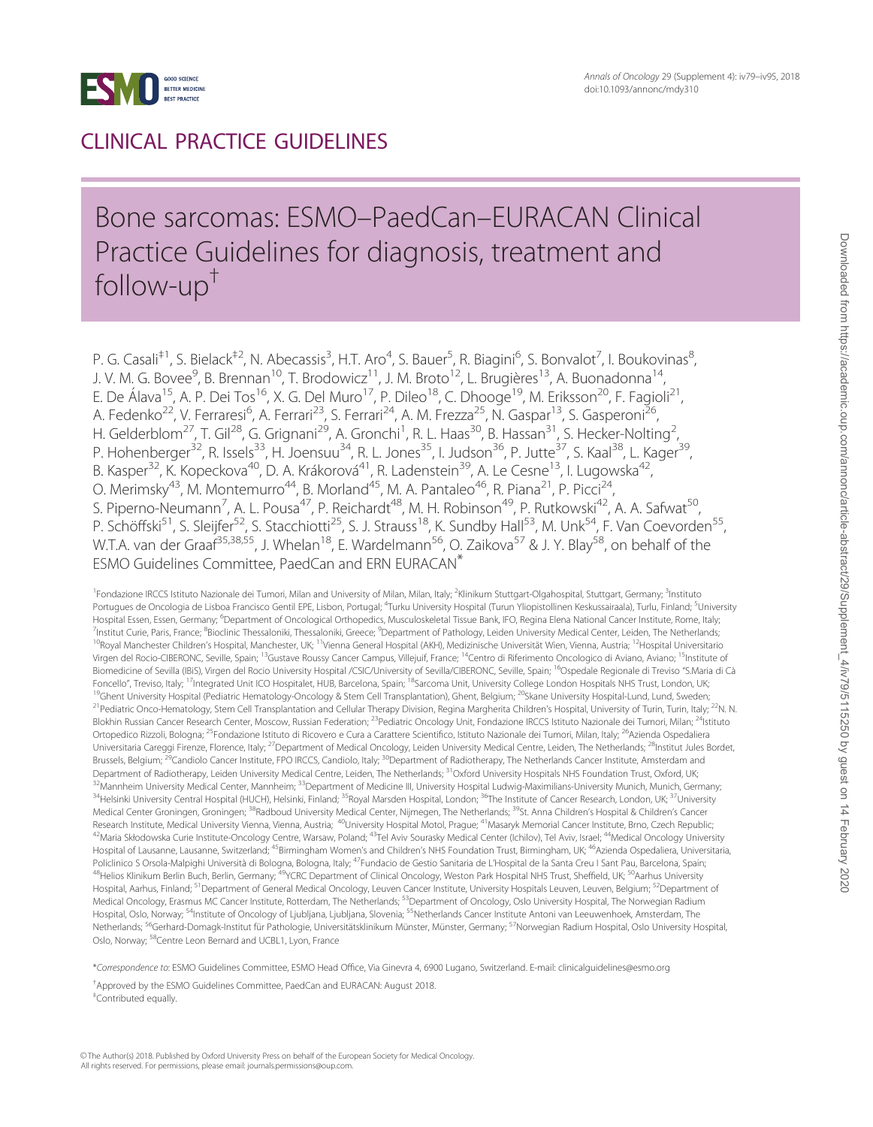

### CLINICAL PRACTICE GUIDELINES

### Bone sarcomas: ESMO–PaedCan–EURACAN Clinical Practice Guidelines for diagnosis, treatment and follow-up†

P. G. Casali<sup>‡1</sup>, S. Bielack<sup>‡2</sup>, N. Abecassis<sup>3</sup>, H.T. Aro<sup>4</sup>, S. Bauer<sup>5</sup>, R. Biagini<sup>6</sup>, S. Bonvalot<sup>7</sup>, I. Boukovinas<sup>8</sup> ;<br>, J. V. M. G. Bovee<sup>9</sup>, B. Brennan<sup>10</sup>, T. Brodowicz<sup>11</sup>, J. M. Broto<sup>12</sup>, L. Brugières<sup>13</sup>, A. Buonadonna<sup>14</sup>, E. De Álava<sup>15</sup>, A. P. Dei Tos<sup>16</sup>, X. G. Del Muro<sup>17</sup>, P. Dileo<sup>18</sup>, C. Dhooge<sup>19</sup>, M. Eriksson<sup>20</sup>, F. Fagioli<sup>21</sup>, A. Fedenko<sup>22</sup>, V. Ferraresi<sup>6</sup>, A. Ferrari<sup>23</sup>, S. Ferrari<sup>24</sup>, A. M. Frezza<sup>25</sup>, N. Gaspar<sup>13</sup>, S. Gasperoni<sup>26</sup>, H. Gelderblom<sup>27</sup>, T. Gil<sup>28</sup>, G. Grignani<sup>29</sup>, A. Gronchi<sup>1</sup>, R. L. Haas<sup>30</sup>, B. Hassan<sup>31</sup>, S. Hecker-Nolting<sup>2</sup> .<br>, P. Hohenberger<sup>32</sup>, R. Issels<sup>33</sup>, H. Joensuu<sup>34</sup>, R. L. Jones<sup>35</sup>, I. Judson<sup>36</sup>, P. Jutte<sup>37</sup>, S. Kaal<sup>38</sup>, L. Kager<sup>39</sup>, B. Kasper<sup>32</sup>, K. Kopeckova<sup>40</sup>, D. A. Krákorová<sup>41</sup>, R. Ladenstein<sup>39</sup>, A. Le Cesne<sup>13</sup>, I. Lugowska<sup>42</sup>, O. Merimsky<sup>43</sup>, M. Montemurro<sup>44</sup>, B. Morland<sup>45</sup>, M. A. Pantaleo<sup>46</sup>, R. Piana<sup>21</sup>, P. Picci<sup>24</sup>, S. Piperno-Neumann<sup>7</sup>, A. L. Pousa<sup>47</sup>, P. Reichardt<sup>48</sup>, M. H. Robinson<sup>49</sup>, P. Rutkowski<sup>42</sup>, A. A. Safwat<sup>50</sup>, P. Schöffski<sup>51</sup>, S. Sleijfer<sup>52</sup>, S. Stacchiotti<sup>25</sup>, S. J. Strauss<sup>18</sup>, K. Sundby Hall<sup>53</sup>, M. Unk<sup>54</sup>, F. Van Coevorden<sup>55</sup>, W.T.A. van der Graaf<sup>35,38,55</sup>, J. Whelan<sup>18</sup>, E. Wardelmann<sup>56</sup>, O. Zaikova<sup>57</sup> & J. Y. Blay<sup>58</sup>, on behalf of the ESMO Guidelines Committee, PaedCan and ERN EURACAN\*

<sup>1</sup> Fondazione IRCCS Istituto Nazionale dei Tumori, Milan and University of Milan, Milan, Italy; <sup>2</sup>Klinikum Stuttgart-Olgahospital, Stuttgart, Germany; <sup>3</sup>Institutc Portugues de Oncologia de Lisboa Francisco Gentil EPE, Lisbon, Portugal; <sup>4</sup>Turku University Hospital (Turun Yliopistollinen Keskussairaala), Turlu, Finland; <sup>5</sup>University Hospital Essen, Essen, Germany; <sup>6</sup>Department of Oncological Orthopedics, Musculoskeletal Tissue Bank, IFO, Regina Elena National Cancer Institute, Rome, Italy <sup>7</sup>Institut Curie, Paris, France; <sup>8</sup>Bioclinic Thessaloniki, Thessaloniki, Greece; <sup>9</sup>Department of Pathology, Leiden University Medical Center, Leiden, The Netherlands 10Royal Manchester Children's Hospital, Manchester, UK; <sup>11</sup>Vienna General Hospital (AKH), Medizinische Universität Wien, Vienna, Austria; <sup>12</sup>Hospital Universitario Virgen del Rocio-CIBERONC, Seville, Spain; <sup>13</sup>Gustave Roussy Cancer Campus, Villejuif, France; <sup>14</sup>Centro di Riferimento Oncologico di Aviano, Aviano; <sup>15</sup>Institute of Biomedicine of Sevilla (IBiS), Virgen del Rocio University Hospital /CSIC/University of Sevilla/CIBERONC, Seville, Spain; <sup>16</sup>Ospedale Regionale di Treviso "S.Maria di Cà Foncello", Treviso, Italy; <sup>17</sup>Integrated Unit ICO Hospitalet, HUB, Barcelona, Spain; <sup>18</sup>Sarcoma Unit, University College London Hospitals NHS Trust, London, UK; <sup>19</sup>Ghent University Hospital (Pediatric Hematology-Oncology & Stem Cell Transplantation), Ghent, Belgium; <sup>20</sup>Skane University Hospital-Lund, Lund, Sweden; <sup>21</sup>Pediatric Onco-Hematology, Stem Cell Transplantation and Cellular Therapy Division, Regina Margherita Children's Hospital, University of Turin, Turin, Italy; <sup>22</sup>N. N. Blokhin Russian Cancer Research Center, Moscow, Russian Federation; <sup>23</sup>Pediatric Oncology Unit, Fondazione IRCCS Istituto Nazionale dei Tumori, Milan; <sup>24</sup>Istituto Ortopedico Rizzoli, Bologna; <sup>25</sup>Fondazione Istituto di Ricovero e Cura a Carattere Scientifico, Istituto Nazionale dei Tumori, Milan, Italy; <sup>26</sup>Azienda Ospedaliera Universitaria Careggi Firenze, Florence, Italy; <sup>27</sup>Department of Medical Oncology, Leiden University Medical Centre, Leiden, The Netherlands; <sup>28</sup>Institut Jules Bordet, Brussels, Belgium; <sup>29</sup>Candiolo Cancer Institute, FPO IRCCS, Candiolo, Italy; <sup>30</sup>Department of Radiotherapy, The Netherlands Cancer Institute, Amsterdam and Department of Radiotherapy, Leiden University Medical Centre, Leiden, The Netherlands; <sup>31</sup>Oxford University Hospitals NHS Foundation Trust, Oxford, UK; <sup>32</sup>Mannheim University Medical Center, Mannheim; <sup>33</sup>Department of Medicine III, University Hospital Ludwig-Maximilians-University Munich, Munich, Germany; <sup>34</sup>Helsinki University Central Hospital (HUCH), Helsinki, Finland; <sup>35</sup>Royal Marsden Hospital, London; <sup>36</sup>The Institute of Cancer Research, London, UK; <sup>37</sup>University Medical Center Groningen, Groningen; <sup>38</sup>Radboud University Medical Center, Nijmegen, The Netherlands; <sup>39</sup>St. Anna Children's Hospital & Children's Cancer Research Institute, Medical University Vienna, Vienna, Austria; 40University Hospital Motol, Prague; 41Masaryk Memorial Cancer Institute, Brno, Czech Republic; <sup>42</sup>Maria Skłodowska Curie Institute-Oncology Centre, Warsaw, Poland; <sup>43</sup>Tel Aviv Sourasky Medical Center (Ichilov), Tel Aviv, Israel; <sup>44</sup>Medical Oncology University Hospital of Lausanne, Lausanne, Switzerland; <sup>45</sup>Birmingham Women's and Children's NHS Foundation Trust, Birmingham, UK; <sup>46</sup>Azienda Ospedaliera, Universitaria, Policlinico S Orsola-Malpighi Universita` di Bologna, Bologna, Italy; 47Fundacio de Gestio Sanitaria de L'Hospital de la Santa Creu I Sant Pau, Barcelona, Spain; <sup>48</sup>Helios Klinikum Berlin Buch, Berlin, Germany; <sup>49</sup>YCRC Department of Clinical Oncology, Weston Park Hospital NHS Trust, Sheffield, UK; <sup>50</sup>Aarhus University Hospital, Aarhus, Finland; <sup>51</sup>Department of General Medical Oncology, Leuven Cancer Institute, University Hospitals Leuven, Leuven, Belgium; <sup>52</sup>Department of Medical Oncology, Erasmus MC Cancer Institute, Rotterdam, The Netherlands; <sup>53</sup>Department of Oncology, Oslo University Hospital, The Norwegian Radium Hospital, Oslo, Norway; 54Institute of Oncology of Ljubljana, Ljubljana, Slovenia; 55Netherlands Cancer Institute Antoni van Leeuwenhoek, Amsterdam, The Netherlands; <sup>56</sup>Gerhard-Domagk-Institut für Pathologie, Universitätsklinikum Münster, Münster, Germany; <sup>57</sup>Norwegian Radium Hospital, Oslo University Hospital, Oslo, Norway; 58Centre Leon Bernard and UCBL1, Lyon, France

\*Correspondence to: ESMO Guidelines Committee, ESMO Head Office, Via Ginevra 4, 6900 Lugano, Switzerland. E-mail: clinicalguidelines@esmo.org

† Approved by the ESMO Guidelines Committee, PaedCan and EURACAN: August 2018. ‡ Contributed equally.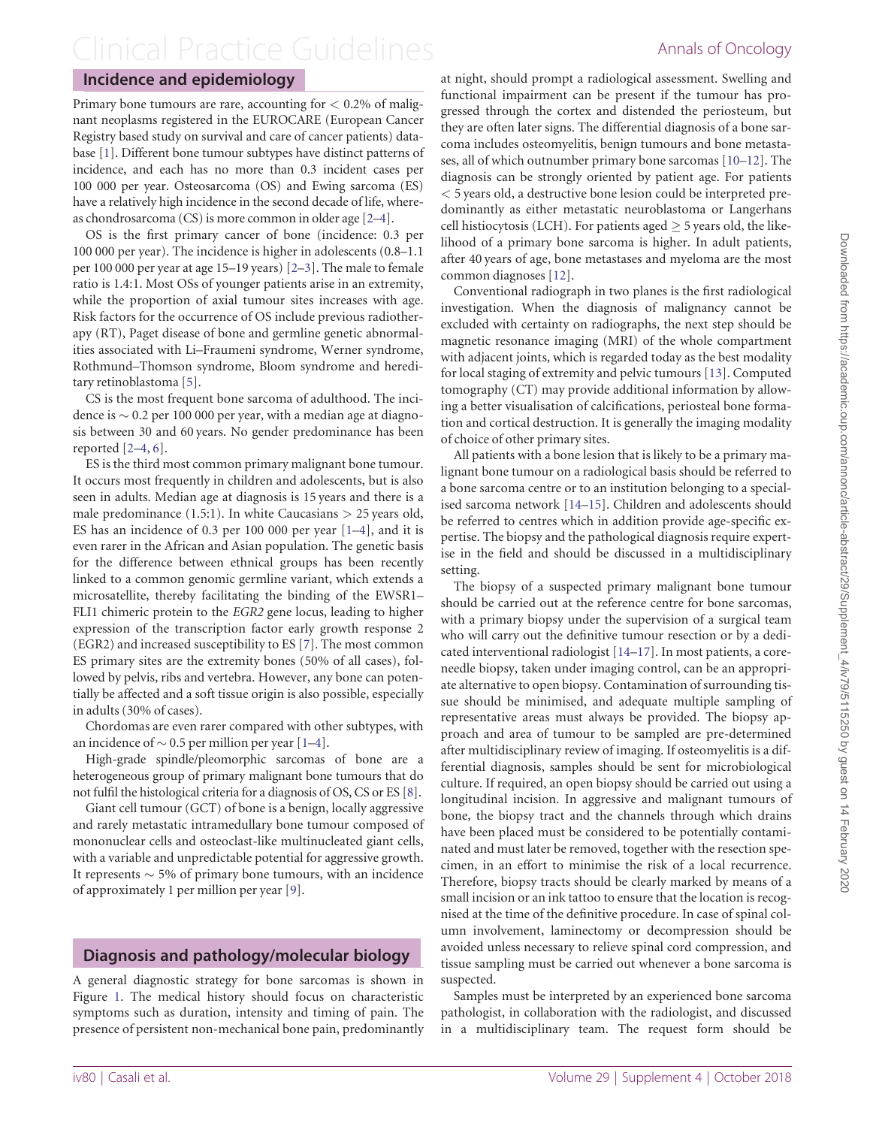### <span id="page-1-0"></span>Incidence and epidemiology

Primary bone tumours are rare, accounting for  $< 0.2\%$  of malignant neoplasms registered in the EUROCARE (European Cancer Registry based study on survival and care of cancer patients) database [[1](#page-13-0)]. Different bone tumour subtypes have distinct patterns of incidence, and each has no more than 0.3 incident cases per 100 000 per year. Osteosarcoma (OS) and Ewing sarcoma (ES) have a relatively high incidence in the second decade of life, whereas chondrosarcoma (CS) is more common in older age [\[2–4\]](#page-13-0).

OS is the first primary cancer of bone (incidence: 0.3 per 100 000 per year). The incidence is higher in adolescents (0.8–1.1 per 100 000 per year at age 15–19 years) [\[2–3](#page-13-0)]. The male to female ratio is 1.4:1. Most OSs of younger patients arise in an extremity, while the proportion of axial tumour sites increases with age. Risk factors for the occurrence of OS include previous radiotherapy (RT), Paget disease of bone and germline genetic abnormalities associated with Li–Fraumeni syndrome, Werner syndrome, Rothmund–Thomson syndrome, Bloom syndrome and hereditary retinoblastoma [[5](#page-13-0)].

CS is the most frequent bone sarcoma of adulthood. The incidence is  $\sim$  0.2 per 100 000 per year, with a median age at diagnosis between 30 and 60 years. No gender predominance has been reported  $[2-4, 6]$  $[2-4, 6]$ .

ES is the third most common primary malignant bone tumour. It occurs most frequently in children and adolescents, but is also seen in adults. Median age at diagnosis is 15 years and there is a male predominance  $(1.5:1)$ . In white Caucasians  $> 25$  years old, ES has an incidence of 0.3 per 100 000 per year [[1–4\]](#page-13-0), and it is even rarer in the African and Asian population. The genetic basis for the difference between ethnical groups has been recently linked to a common genomic germline variant, which extends a microsatellite, thereby facilitating the binding of the EWSR1– FLI1 chimeric protein to the EGR2 gene locus, leading to higher expression of the transcription factor early growth response 2 (EGR2) and increased susceptibility to ES [[7](#page-13-0)]. The most common ES primary sites are the extremity bones (50% of all cases), followed by pelvis, ribs and vertebra. However, any bone can potentially be affected and a soft tissue origin is also possible, especially in adults (30% of cases).

Chordomas are even rarer compared with other subtypes, with an incidence of  $\sim$  0.5 per million per year [[1](#page-13-0)–[4\]](#page-13-0).

High-grade spindle/pleomorphic sarcomas of bone are a heterogeneous group of primary malignant bone tumours that do not fulfil the histological criteria for a diagnosis of OS, CS or ES [[8](#page-13-0)].

Giant cell tumour (GCT) of bone is a benign, locally aggressive and rarely metastatic intramedullary bone tumour composed of mononuclear cells and osteoclast-like multinucleated giant cells, with a variable and unpredictable potential for aggressive growth. It represents  $\sim$  5% of primary bone tumours, with an incidence of approximately 1 per million per year [[9](#page-13-0)].

### Diagnosis and pathology/molecular biology

A general diagnostic strategy for bone sarcomas is shown in Figure [1.](#page-5-0) The medical history should focus on characteristic symptoms such as duration, intensity and timing of pain. The presence of persistent non-mechanical bone pain, predominantly at night, should prompt a radiological assessment. Swelling and functional impairment can be present if the tumour has progressed through the cortex and distended the periosteum, but they are often later signs. The differential diagnosis of a bone sarcoma includes osteomyelitis, benign tumours and bone metastases, all of which outnumber primary bone sarcomas [\[10](#page-13-0)–[12\]](#page-13-0). The diagnosis can be strongly oriented by patient age. For patients < 5 years old, a destructive bone lesion could be interpreted predominantly as either metastatic neuroblastoma or Langerhans cell histiocytosis (LCH). For patients aged  $\geq$  5 years old, the likelihood of a primary bone sarcoma is higher. In adult patients, after 40 years of age, bone metastases and myeloma are the most common diagnoses [\[12](#page-13-0)].

Conventional radiograph in two planes is the first radiological investigation. When the diagnosis of malignancy cannot be excluded with certainty on radiographs, the next step should be magnetic resonance imaging (MRI) of the whole compartment with adjacent joints, which is regarded today as the best modality for local staging of extremity and pelvic tumours [[13\]](#page-13-0). Computed tomography (CT) may provide additional information by allowing a better visualisation of calcifications, periosteal bone formation and cortical destruction. It is generally the imaging modality of choice of other primary sites.

All patients with a bone lesion that is likely to be a primary malignant bone tumour on a radiological basis should be referred to a bone sarcoma centre or to an institution belonging to a specialised sarcoma network [[14](#page-13-0)–[15](#page-13-0)]. Children and adolescents should be referred to centres which in addition provide age-specific expertise. The biopsy and the pathological diagnosis require expertise in the field and should be discussed in a multidisciplinary setting.

The biopsy of a suspected primary malignant bone tumour should be carried out at the reference centre for bone sarcomas, with a primary biopsy under the supervision of a surgical team who will carry out the definitive tumour resection or by a dedicated interventional radiologist [\[14–17](#page-13-0)]. In most patients, a coreneedle biopsy, taken under imaging control, can be an appropriate alternative to open biopsy. Contamination of surrounding tissue should be minimised, and adequate multiple sampling of representative areas must always be provided. The biopsy approach and area of tumour to be sampled are pre-determined after multidisciplinary review of imaging. If osteomyelitis is a differential diagnosis, samples should be sent for microbiological culture. If required, an open biopsy should be carried out using a longitudinal incision. In aggressive and malignant tumours of bone, the biopsy tract and the channels through which drains have been placed must be considered to be potentially contaminated and must later be removed, together with the resection specimen, in an effort to minimise the risk of a local recurrence. Therefore, biopsy tracts should be clearly marked by means of a small incision or an ink tattoo to ensure that the location is recognised at the time of the definitive procedure. In case of spinal column involvement, laminectomy or decompression should be avoided unless necessary to relieve spinal cord compression, and tissue sampling must be carried out whenever a bone sarcoma is suspected.

Samples must be interpreted by an experienced bone sarcoma pathologist, in collaboration with the radiologist, and discussed in a multidisciplinary team. The request form should be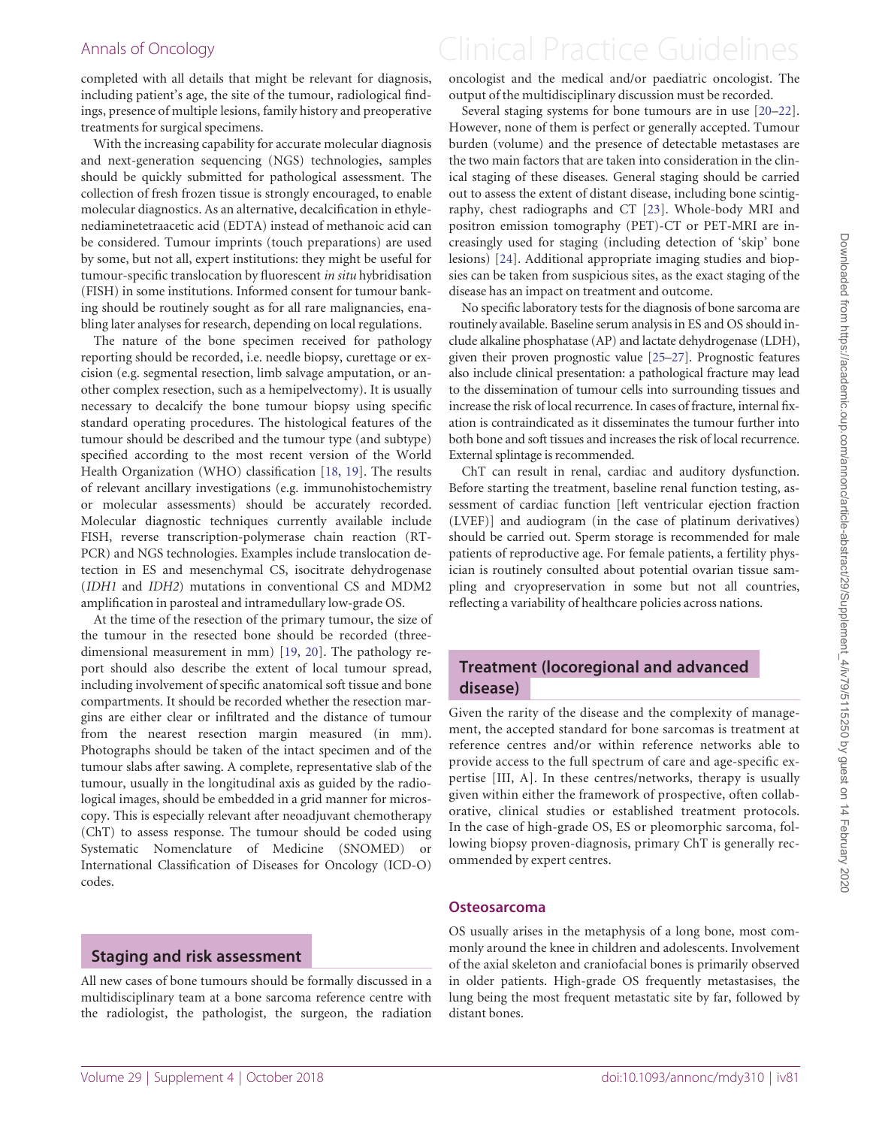completed with all details that might be relevant for diagnosis, including patient's age, the site of the tumour, radiological findings, presence of multiple lesions, family history and preoperative treatments for surgical specimens.

With the increasing capability for accurate molecular diagnosis and next-generation sequencing (NGS) technologies, samples should be quickly submitted for pathological assessment. The collection of fresh frozen tissue is strongly encouraged, to enable molecular diagnostics. As an alternative, decalcification in ethylenediaminetetraacetic acid (EDTA) instead of methanoic acid can be considered. Tumour imprints (touch preparations) are used by some, but not all, expert institutions: they might be useful for tumour-specific translocation by fluorescent in situ hybridisation (FISH) in some institutions. Informed consent for tumour banking should be routinely sought as for all rare malignancies, enabling later analyses for research, depending on local regulations.

The nature of the bone specimen received for pathology reporting should be recorded, i.e. needle biopsy, curettage or excision (e.g. segmental resection, limb salvage amputation, or another complex resection, such as a hemipelvectomy). It is usually necessary to decalcify the bone tumour biopsy using specific standard operating procedures. The histological features of the tumour should be described and the tumour type (and subtype) specified according to the most recent version of the World Health Organization (WHO) classification [\[18](#page-13-0), [19\]](#page-13-0). The results of relevant ancillary investigations (e.g. immunohistochemistry or molecular assessments) should be accurately recorded. Molecular diagnostic techniques currently available include FISH, reverse transcription-polymerase chain reaction (RT-PCR) and NGS technologies. Examples include translocation detection in ES and mesenchymal CS, isocitrate dehydrogenase (IDH1 and IDH2) mutations in conventional CS and MDM2 amplification in parosteal and intramedullary low-grade OS.

At the time of the resection of the primary tumour, the size of the tumour in the resected bone should be recorded (threedimensional measurement in mm) [[19,](#page-13-0) [20](#page-13-0)]. The pathology report should also describe the extent of local tumour spread, including involvement of specific anatomical soft tissue and bone compartments. It should be recorded whether the resection margins are either clear or infiltrated and the distance of tumour from the nearest resection margin measured (in mm). Photographs should be taken of the intact specimen and of the tumour slabs after sawing. A complete, representative slab of the tumour, usually in the longitudinal axis as guided by the radiological images, should be embedded in a grid manner for microscopy. This is especially relevant after neoadjuvant chemotherapy (ChT) to assess response. The tumour should be coded using Systematic Nomenclature of Medicine (SNOMED) or International Classification of Diseases for Oncology (ICD-O) codes.

#### Staging and risk assessment

All new cases of bone tumours should be formally discussed in a multidisciplinary team at a bone sarcoma reference centre with the radiologist, the pathologist, the surgeon, the radiation

### <span id="page-2-0"></span>Annals of Oncology **Annals of Oncology Clinical Practice Guidelines**

oncologist and the medical and/or paediatric oncologist. The output of the multidisciplinary discussion must be recorded.

Several staging systems for bone tumours are in use [\[20–22](#page-13-0)]. However, none of them is perfect or generally accepted. Tumour burden (volume) and the presence of detectable metastases are the two main factors that are taken into consideration in the clinical staging of these diseases. General staging should be carried out to assess the extent of distant disease, including bone scintigraphy, chest radiographs and CT [\[23](#page-13-0)]. Whole-body MRI and positron emission tomography (PET)-CT or PET-MRI are increasingly used for staging (including detection of 'skip' bone lesions) [[24\]](#page-13-0). Additional appropriate imaging studies and biopsies can be taken from suspicious sites, as the exact staging of the disease has an impact on treatment and outcome.

No specific laboratory tests for the diagnosis of bone sarcoma are routinely available. Baseline serum analysis in ES and OS should include alkaline phosphatase (AP) and lactate dehydrogenase (LDH), given their proven prognostic value [[25–27](#page-13-0)]. Prognostic features also include clinical presentation: a pathological fracture may lead to the dissemination of tumour cells into surrounding tissues and increase the risk of local recurrence. In cases of fracture, internal fixation is contraindicated as it disseminates the tumour further into both bone and soft tissues and increases the risk of local recurrence. External splintage is recommended.

ChT can result in renal, cardiac and auditory dysfunction. Before starting the treatment, baseline renal function testing, assessment of cardiac function [left ventricular ejection fraction (LVEF)] and audiogram (in the case of platinum derivatives) should be carried out. Sperm storage is recommended for male patients of reproductive age. For female patients, a fertility physician is routinely consulted about potential ovarian tissue sampling and cryopreservation in some but not all countries, reflecting a variability of healthcare policies across nations.

### Treatment (locoregional and advanced disease)

Given the rarity of the disease and the complexity of management, the accepted standard for bone sarcomas is treatment at reference centres and/or within reference networks able to provide access to the full spectrum of care and age-specific expertise [III, A]. In these centres/networks, therapy is usually given within either the framework of prospective, often collaborative, clinical studies or established treatment protocols. In the case of high-grade OS, ES or pleomorphic sarcoma, following biopsy proven-diagnosis, primary ChT is generally recommended by expert centres.

#### Osteosarcoma

OS usually arises in the metaphysis of a long bone, most commonly around the knee in children and adolescents. Involvement of the axial skeleton and craniofacial bones is primarily observed in older patients. High-grade OS frequently metastasises, the lung being the most frequent metastatic site by far, followed by distant bones.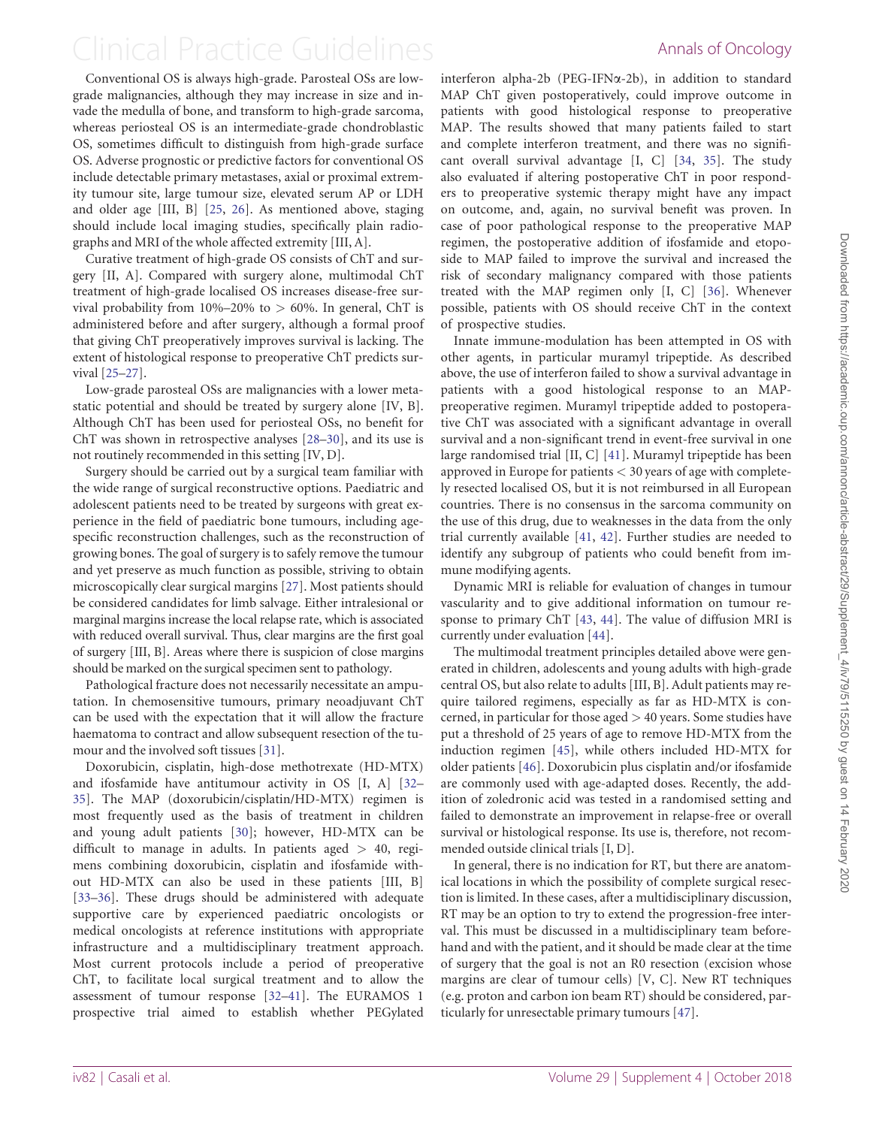<span id="page-3-0"></span>Conventional OS is always high-grade. Parosteal OSs are lowgrade malignancies, although they may increase in size and invade the medulla of bone, and transform to high-grade sarcoma, whereas periosteal OS is an intermediate-grade chondroblastic OS, sometimes difficult to distinguish from high-grade surface OS. Adverse prognostic or predictive factors for conventional OS include detectable primary metastases, axial or proximal extremity tumour site, large tumour size, elevated serum AP or LDH and older age [III, B] [[25](#page-13-0), [26\]](#page-13-0). As mentioned above, staging should include local imaging studies, specifically plain radiographs and MRI of the whole affected extremity [III, A].

Curative treatment of high-grade OS consists of ChT and surgery [II, A]. Compared with surgery alone, multimodal ChT treatment of high-grade localised OS increases disease-free survival probability from 10%–20% to  $> 60$ %. In general, ChT is administered before and after surgery, although a formal proof that giving ChT preoperatively improves survival is lacking. The extent of histological response to preoperative ChT predicts survival [\[25–27](#page-13-0)].

Low-grade parosteal OSs are malignancies with a lower metastatic potential and should be treated by surgery alone [IV, B]. Although ChT has been used for periosteal OSs, no benefit for ChT was shown in retrospective analyses [\[28](#page-13-0)–30], and its use is not routinely recommended in this setting [IV, D].

Surgery should be carried out by a surgical team familiar with the wide range of surgical reconstructive options. Paediatric and adolescent patients need to be treated by surgeons with great experience in the field of paediatric bone tumours, including agespecific reconstruction challenges, such as the reconstruction of growing bones. The goal of surgery is to safely remove the tumour and yet preserve as much function as possible, striving to obtain microscopically clear surgical margins [[27\]](#page-13-0). Most patients should be considered candidates for limb salvage. Either intralesional or marginal margins increase the local relapse rate, which is associated with reduced overall survival. Thus, clear margins are the first goal of surgery [III, B]. Areas where there is suspicion of close margins should be marked on the surgical specimen sent to pathology.

Pathological fracture does not necessarily necessitate an amputation. In chemosensitive tumours, primary neoadjuvant ChT can be used with the expectation that it will allow the fracture haematoma to contract and allow subsequent resection of the tumour and the involved soft tissues [[31\]](#page-13-0).

Doxorubicin, cisplatin, high-dose methotrexate (HD-MTX) and ifosfamide have antitumour activity in OS [I, A] [\[32–](#page-13-0) [35](#page-13-0)]. The MAP (doxorubicin/cisplatin/HD-MTX) regimen is most frequently used as the basis of treatment in children and young adult patients [30]; however, HD-MTX can be difficult to manage in adults. In patients aged  $> 40$ , regimens combining doxorubicin, cisplatin and ifosfamide without HD-MTX can also be used in these patients [III, B] [[33–36\]](#page-13-0). These drugs should be administered with adequate supportive care by experienced paediatric oncologists or medical oncologists at reference institutions with appropriate infrastructure and a multidisciplinary treatment approach. Most current protocols include a period of preoperative ChT, to facilitate local surgical treatment and to allow the assessment of tumour response [\[32](#page-13-0)[–41](#page-14-0)]. The EURAMOS 1 prospective trial aimed to establish whether PEGylated interferon alpha-2b (PEG-IFNa-2b), in addition to standard MAP ChT given postoperatively, could improve outcome in patients with good histological response to preoperative MAP. The results showed that many patients failed to start and complete interferon treatment, and there was no significant overall survival advantage [I, C] [\[34](#page-13-0), [35\]](#page-13-0). The study also evaluated if altering postoperative ChT in poor responders to preoperative systemic therapy might have any impact on outcome, and, again, no survival benefit was proven. In case of poor pathological response to the preoperative MAP regimen, the postoperative addition of ifosfamide and etoposide to MAP failed to improve the survival and increased the risk of secondary malignancy compared with those patients treated with the MAP regimen only [I, C] [[36\]](#page-13-0). Whenever possible, patients with OS should receive ChT in the context of prospective studies.

Innate immune-modulation has been attempted in OS with other agents, in particular muramyl tripeptide. As described above, the use of interferon failed to show a survival advantage in patients with a good histological response to an MAPpreoperative regimen. Muramyl tripeptide added to postoperative ChT was associated with a significant advantage in overall survival and a non-significant trend in event-free survival in one large randomised trial [II, C] [[41\]](#page-14-0). Muramyl tripeptide has been approved in Europe for patients < 30 years of age with completely resected localised OS, but it is not reimbursed in all European countries. There is no consensus in the sarcoma community on the use of this drug, due to weaknesses in the data from the only trial currently available [[41,](#page-14-0) [42](#page-14-0)]. Further studies are needed to identify any subgroup of patients who could benefit from immune modifying agents.

Dynamic MRI is reliable for evaluation of changes in tumour vascularity and to give additional information on tumour response to primary ChT [[43](#page-14-0), [44\]](#page-14-0). The value of diffusion MRI is currently under evaluation [[44\]](#page-14-0).

The multimodal treatment principles detailed above were generated in children, adolescents and young adults with high-grade central OS, but also relate to adults [III, B]. Adult patients may require tailored regimens, especially as far as HD-MTX is concerned, in particular for those aged  $> 40$  years. Some studies have put a threshold of 25 years of age to remove HD-MTX from the induction regimen [[45](#page-14-0)], while others included HD-MTX for older patients [\[46](#page-14-0)]. Doxorubicin plus cisplatin and/or ifosfamide are commonly used with age-adapted doses. Recently, the addition of zoledronic acid was tested in a randomised setting and failed to demonstrate an improvement in relapse-free or overall survival or histological response. Its use is, therefore, not recommended outside clinical trials [I, D].

In general, there is no indication for RT, but there are anatomical locations in which the possibility of complete surgical resection is limited. In these cases, after a multidisciplinary discussion, RT may be an option to try to extend the progression-free interval. This must be discussed in a multidisciplinary team beforehand and with the patient, and it should be made clear at the time of surgery that the goal is not an R0 resection (excision whose margins are clear of tumour cells) [V, C]. New RT techniques (e.g. proton and carbon ion beam RT) should be considered, particularly for unresectable primary tumours [[47\]](#page-14-0).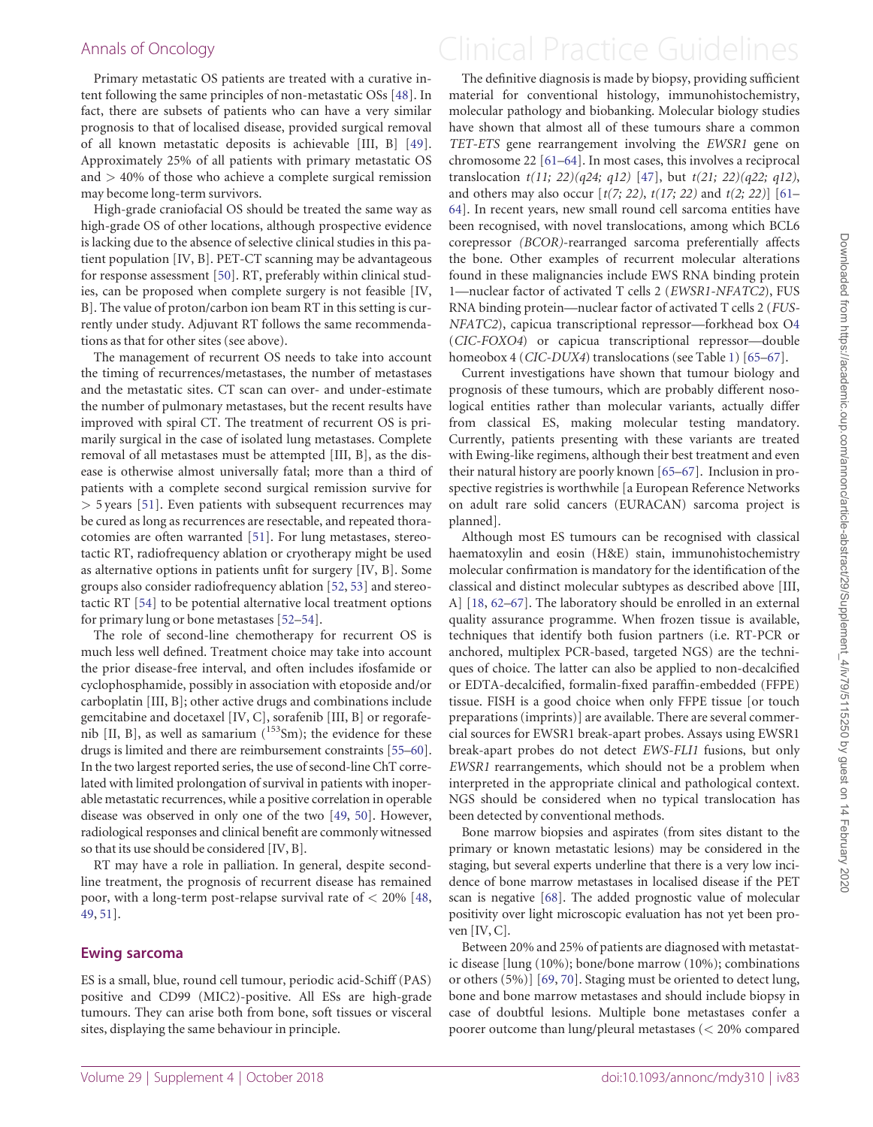Primary metastatic OS patients are treated with a curative intent following the same principles of non-metastatic OSs [[48\]](#page-14-0). In fact, there are subsets of patients who can have a very similar prognosis to that of localised disease, provided surgical removal of all known metastatic deposits is achievable [III, B] [[49](#page-14-0)]. Approximately 25% of all patients with primary metastatic OS and > 40% of those who achieve a complete surgical remission may become long-term survivors.

High-grade craniofacial OS should be treated the same way as high-grade OS of other locations, although prospective evidence is lacking due to the absence of selective clinical studies in this patient population [IV, B]. PET-CT scanning may be advantageous for response assessment [[50\]](#page-14-0). RT, preferably within clinical studies, can be proposed when complete surgery is not feasible [IV, B]. The value of proton/carbon ion beam RT in this setting is currently under study. Adjuvant RT follows the same recommendations as that for other sites (see above).

The management of recurrent OS needs to take into account the timing of recurrences/metastases, the number of metastases and the metastatic sites. CT scan can over- and under-estimate the number of pulmonary metastases, but the recent results have improved with spiral CT. The treatment of recurrent OS is primarily surgical in the case of isolated lung metastases. Complete removal of all metastases must be attempted [III, B], as the disease is otherwise almost universally fatal; more than a third of patients with a complete second surgical remission survive for  $>$  5 years [\[51\]](#page-14-0). Even patients with subsequent recurrences may be cured as long as recurrences are resectable, and repeated thoracotomies are often warranted [\[51](#page-14-0)]. For lung metastases, stereotactic RT, radiofrequency ablation or cryotherapy might be used as alternative options in patients unfit for surgery [IV, B]. Some groups also consider radiofrequency ablation [[52,](#page-14-0) [53](#page-14-0)] and stereotactic RT [[54\]](#page-14-0) to be potential alternative local treatment options for primary lung or bone metastases [[52–54\]](#page-14-0).

The role of second-line chemotherapy for recurrent OS is much less well defined. Treatment choice may take into account the prior disease-free interval, and often includes ifosfamide or cyclophosphamide, possibly in association with etoposide and/or carboplatin [III, B]; other active drugs and combinations include gemcitabine and docetaxel [IV, C], sorafenib [III, B] or regorafenib [II, B], as well as samarium  $(^{153}Sm)$ ; the evidence for these drugs is limited and there are reimbursement constraints [[55–60](#page-14-0)]. In the two largest reported series, the use of second-line ChT correlated with limited prolongation of survival in patients with inoperable metastatic recurrences, while a positive correlation in operable disease was observed in only one of the two [\[49](#page-14-0), [50\]](#page-14-0). However, radiological responses and clinical benefit are commonly witnessed so that its use should be considered [IV, B].

RT may have a role in palliation. In general, despite secondline treatment, the prognosis of recurrent disease has remained poor, with a long-term post-relapse survival rate of  $\lt$  20% [[48,](#page-14-0) [49,](#page-14-0) [51](#page-14-0)].

#### Ewing sarcoma

ES is a small, blue, round cell tumour, periodic acid-Schiff (PAS) positive and CD99 (MIC2)-positive. All ESs are high-grade tumours. They can arise both from bone, soft tissues or visceral sites, displaying the same behaviour in principle.

### <span id="page-4-0"></span>Annals of Oncology **Annals of Oncology Clinical Practice Guidelines**

The definitive diagnosis is made by biopsy, providing sufficient material for conventional histology, immunohistochemistry, molecular pathology and biobanking. Molecular biology studies have shown that almost all of these tumours share a common TET-ETS gene rearrangement involving the EWSR1 gene on chromosome 22 [\[61](#page-14-0)–[64](#page-14-0)]. In most cases, this involves a reciprocal translocation  $t(11; 22)(q24; q12)$  [[47](#page-14-0)], but  $t(21; 22)(q22; q12)$ , and others may also occur  $[t(7; 22), t(17; 22)$  and  $t(2; 22)]$  [\[61](#page-14-0)– [64](#page-14-0)]. In recent years, new small round cell sarcoma entities have been recognised, with novel translocations, among which BCL6 corepressor (BCOR)-rearranged sarcoma preferentially affects the bone. Other examples of recurrent molecular alterations found in these malignancies include EWS RNA binding protein 1—nuclear factor of activated T cells 2 (EWSR1-NFATC2), FUS RNA binding protein—nuclear factor of activated T cells 2 (FUS-NFATC2), capicua transcriptional repressor—forkhead box O[4](#page-13-0) (CIC-FOXO4) or capicua transcriptional repressor—double homeobox 4 (*CIC-DUX4*) translocations (see Table [1\)](#page-5-0) [[65–67\]](#page-14-0).

Current investigations have shown that tumour biology and prognosis of these tumours, which are probably different nosological entities rather than molecular variants, actually differ from classical ES, making molecular testing mandatory. Currently, patients presenting with these variants are treated with Ewing-like regimens, although their best treatment and even their natural history are poorly known [[65–67\]](#page-14-0). Inclusion in prospective registries is worthwhile [a European Reference Networks on adult rare solid cancers (EURACAN) sarcoma project is planned].

Although most ES tumours can be recognised with classical haematoxylin and eosin (H&E) stain, immunohistochemistry molecular confirmation is mandatory for the identification of the classical and distinct molecular subtypes as described above [III, A] [[18,](#page-13-0) [62–67\]](#page-14-0). The laboratory should be enrolled in an external quality assurance programme. When frozen tissue is available, techniques that identify both fusion partners (i.e. RT-PCR or anchored, multiplex PCR-based, targeted NGS) are the techniques of choice. The latter can also be applied to non-decalcified or EDTA-decalcified, formalin-fixed paraffin-embedded (FFPE) tissue. FISH is a good choice when only FFPE tissue [or touch preparations (imprints)] are available. There are several commercial sources for EWSR1 break-apart probes. Assays using EWSR1 break-apart probes do not detect EWS-FLI1 fusions, but only EWSR1 rearrangements, which should not be a problem when interpreted in the appropriate clinical and pathological context. NGS should be considered when no typical translocation has been detected by conventional methods.

Bone marrow biopsies and aspirates (from sites distant to the primary or known metastatic lesions) may be considered in the staging, but several experts underline that there is a very low incidence of bone marrow metastases in localised disease if the PET scan is negative [[68](#page-14-0)]. The added prognostic value of molecular positivity over light microscopic evaluation has not yet been proven [IV, C].

Between 20% and 25% of patients are diagnosed with metastatic disease [lung (10%); bone/bone marrow (10%); combinations or others (5%)] [\[69](#page-14-0), [70\]](#page-14-0). Staging must be oriented to detect lung, bone and bone marrow metastases and should include biopsy in case of doubtful lesions. Multiple bone metastases confer a poorer outcome than lung/pleural metastases (< 20% compared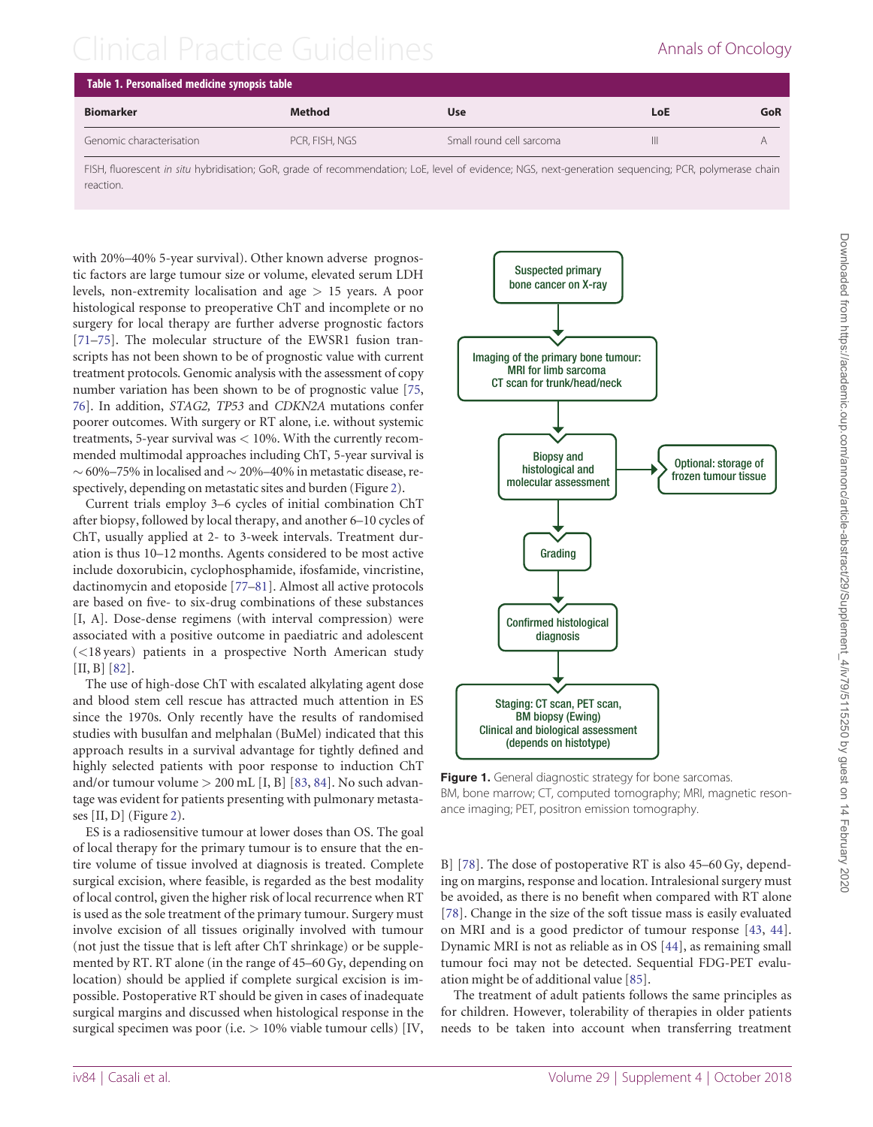<span id="page-5-0"></span>

| Table 1. Personalised medicine synopsis table |                |                          |            |     |
|-----------------------------------------------|----------------|--------------------------|------------|-----|
| Biomarker                                     | <b>Method</b>  | <b>Use</b>               | <b>LoE</b> | GoR |
| Genomic characterisation                      | PCR, FISH, NGS | Small round cell sarcoma | Ш          |     |

FISH, fluorescent in situ hybridisation; GoR, grade of recommendation; LoE, level of evidence; NGS, next-generation sequencing; PCR, polymerase chain reaction.

with 20%–40% 5-year survival). Other known adverse prognostic factors are large tumour size or volume, elevated serum LDH levels, non-extremity localisation and age > 15 years. A poor histological response to preoperative ChT and incomplete or no surgery for local therapy are further adverse prognostic factors [[71–75\]](#page-14-0). The molecular structure of the EWSR1 fusion transcripts has not been shown to be of prognostic value with current treatment protocols. Genomic analysis with the assessment of copy number variation has been shown to be of prognostic value [\[75](#page-14-0), [76\]](#page-14-0). In addition, STAG2, TP53 and CDKN2A mutations confer poorer outcomes. With surgery or RT alone, i.e. without systemic treatments, 5-year survival was  $< 10\%$ . With the currently recommended multimodal approaches including ChT, 5-year survival is  $\sim$  60%–75% in localised and  $\sim$  20%–40% in metastatic disease, respectively, depending on metastatic sites and burden (Figure [2\)](#page-6-0).

Current trials employ 3–6 cycles of initial combination ChT after biopsy, followed by local therapy, and another 6–10 cycles of ChT, usually applied at 2- to 3-week intervals. Treatment duration is thus 10–12 months. Agents considered to be most active include doxorubicin, cyclophosphamide, ifosfamide, vincristine, dactinomycin and etoposide [\[77](#page-14-0)–[81](#page-15-0)]. Almost all active protocols are based on five- to six-drug combinations of these substances [I, A]. Dose-dense regimens (with interval compression) were associated with a positive outcome in paediatric and adolescent (<18 years) patients in a prospective North American study [II, B] [\[82\]](#page-15-0).

The use of high-dose ChT with escalated alkylating agent dose and blood stem cell rescue has attracted much attention in ES since the 1970s. Only recently have the results of randomised studies with busulfan and melphalan (BuMel) indicated that this approach results in a survival advantage for tightly defined and highly selected patients with poor response to induction ChT and/or tumour volume  $> 200$  mL [I, B] [[83,](#page-15-0) [84](#page-15-0)]. No such advantage was evident for patients presenting with pulmonary metastases [II, D] (Figure [2](#page-6-0)).

ES is a radiosensitive tumour at lower doses than OS. The goal of local therapy for the primary tumour is to ensure that the entire volume of tissue involved at diagnosis is treated. Complete surgical excision, where feasible, is regarded as the best modality of local control, given the higher risk of local recurrence when RT is used as the sole treatment of the primary tumour. Surgery must involve excision of all tissues originally involved with tumour (not just the tissue that is left after ChT shrinkage) or be supplemented by RT. RT alone (in the range of 45–60 Gy, depending on location) should be applied if complete surgical excision is impossible. Postoperative RT should be given in cases of inadequate surgical margins and discussed when histological response in the surgical specimen was poor (i.e.  $> 10\%$  viable tumour cells) [IV,



Figure 1. General diagnostic strategy for bone sarcomas. BM, bone marrow; CT, computed tomography; MRI, magnetic resonance imaging; PET, positron emission tomography.

B] [[78\]](#page-14-0). The dose of postoperative RT is also 45–60 Gy, depending on margins, response and location. Intralesional surgery must be avoided, as there is no benefit when compared with RT alone [[78](#page-14-0)]. Change in the size of the soft tissue mass is easily evaluated on MRI and is a good predictor of tumour response [[43,](#page-14-0) [44\]](#page-14-0). Dynamic MRI is not as reliable as in OS [[44](#page-14-0)], as remaining small tumour foci may not be detected. Sequential FDG-PET evaluation might be of additional value [[85](#page-15-0)].

The treatment of adult patients follows the same principles as for children. However, tolerability of therapies in older patients needs to be taken into account when transferring treatment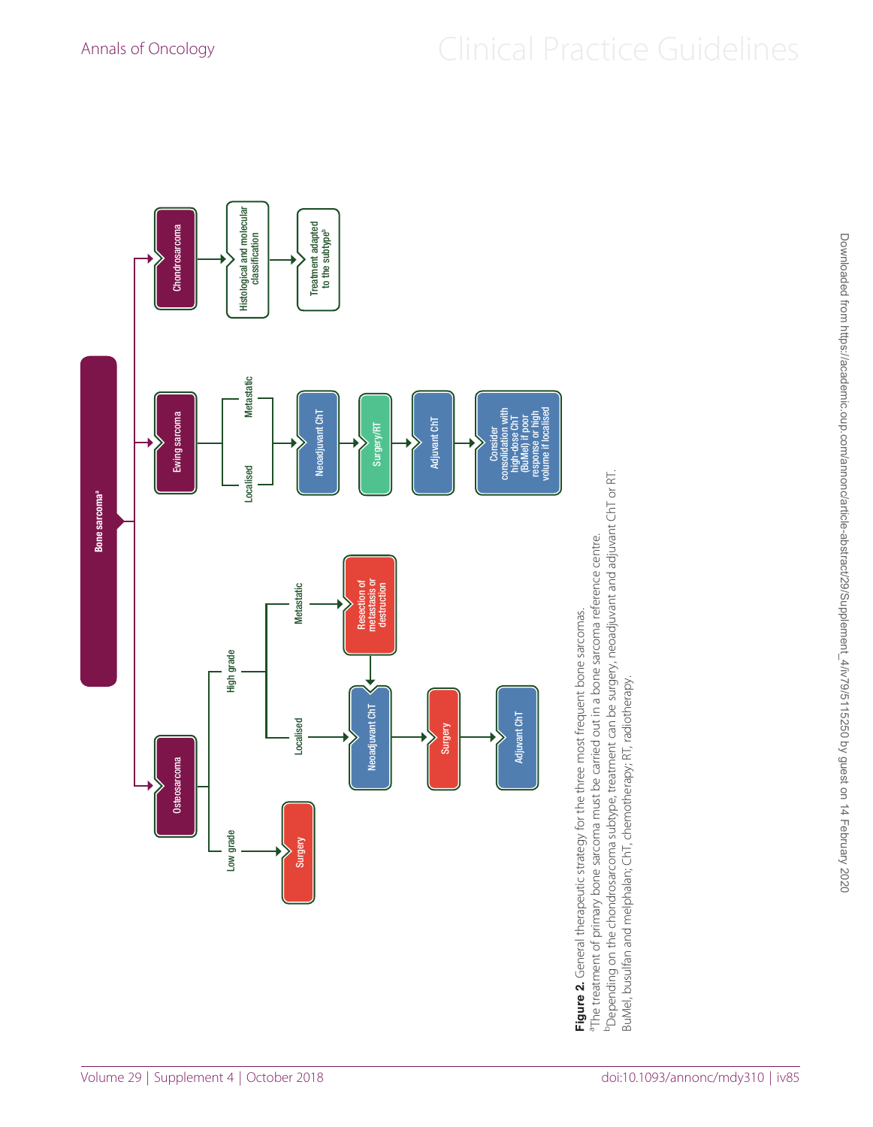# <span id="page-6-0"></span>Annals of Oncology **Clinical Practice Guidelines**



**Figure 2.** General therapeutic strategy for the three most frequent bone sarcomas.<br><sup>T</sup>The treatment of primary bone sarcoma must be carried out in a bone sarcoma reference centre. Figure 2. General therapeutic strategy for the three most frequent bone sarcomas.

<sup>b</sup>Depending on the chondrosarcoma subtype, treatment can be surgery, neoadjuvant and adjuvant ChT or RT. bDepending on the chondrosarcoma subtype, treatment can be surgery, neoadjuvant and adjuvant ChT or RT. <sup>a</sup>The treatment of primary bone sarcoma must be carried out in a bone sarcoma reference centre.

BuMel, busulfan and melphalan; ChT, chemotherapy; RT, radiotherapy. BuMel, busulfan and melphalan; ChT, chemotherapy; RT, radiotherapy.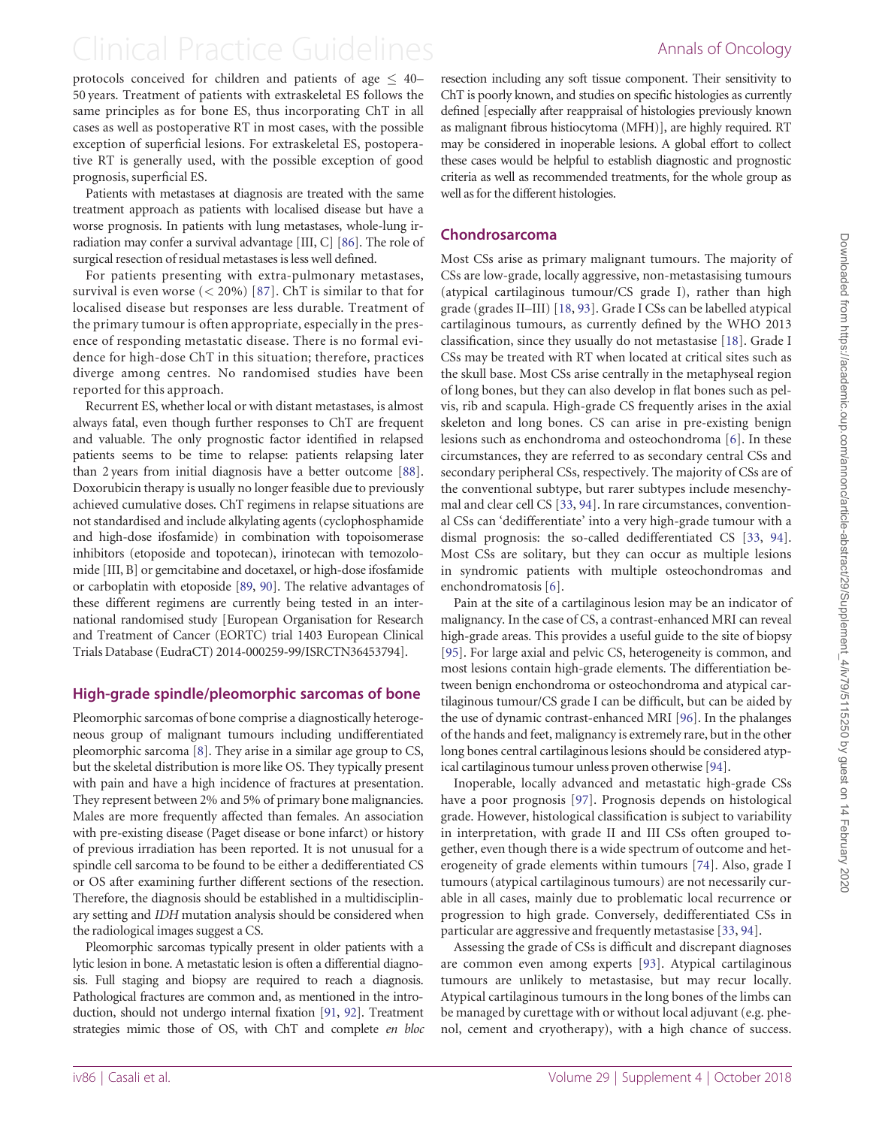<span id="page-7-0"></span>protocols conceived for children and patients of age  $\leq 40-$ 50 years. Treatment of patients with extraskeletal ES follows the same principles as for bone ES, thus incorporating ChT in all cases as well as postoperative RT in most cases, with the possible exception of superficial lesions. For extraskeletal ES, postoperative RT is generally used, with the possible exception of good prognosis, superficial ES.

Patients with metastases at diagnosis are treated with the same treatment approach as patients with localised disease but have a worse prognosis. In patients with lung metastases, whole-lung irradiation may confer a survival advantage [III, C] [[86\]](#page-15-0). The role of surgical resection of residual metastases is less well defined.

For patients presenting with extra-pulmonary metastases, survival is even worse  $(< 20\%)$  [\[87\]](#page-15-0). ChT is similar to that for localised disease but responses are less durable. Treatment of the primary tumour is often appropriate, especially in the presence of responding metastatic disease. There is no formal evidence for high-dose ChT in this situation; therefore, practices diverge among centres. No randomised studies have been reported for this approach.

Recurrent ES, whether local or with distant metastases, is almost always fatal, even though further responses to ChT are frequent and valuable. The only prognostic factor identified in relapsed patients seems to be time to relapse: patients relapsing later than 2 years from initial diagnosis have a better outcome [[88\]](#page-15-0). Doxorubicin therapy is usually no longer feasible due to previously achieved cumulative doses. ChT regimens in relapse situations are not standardised and include alkylating agents (cyclophosphamide and high-dose ifosfamide) in combination with topoisomerase inhibitors (etoposide and topotecan), irinotecan with temozolomide [III, B] or gemcitabine and docetaxel, or high-dose ifosfamide or carboplatin with etoposide [\[89](#page-15-0), [90](#page-15-0)]. The relative advantages of these different regimens are currently being tested in an international randomised study [European Organisation for Research and Treatment of Cancer (EORTC) trial 1403 European Clinical Trials Database (EudraCT) 2014-000259-99/ISRCTN36453794].

#### High-grade spindle/pleomorphic sarcomas of bone

Pleomorphic sarcomas of bone comprise a diagnostically heterogeneous group of malignant tumours including undifferentiated pleomorphic sarcoma [\[8\]](#page-13-0). They arise in a similar age group to CS, but the skeletal distribution is more like OS. They typically present with pain and have a high incidence of fractures at presentation. They represent between 2% and 5% of primary bone malignancies. Males are more frequently affected than females. An association with pre-existing disease (Paget disease or bone infarct) or history of previous irradiation has been reported. It is not unusual for a spindle cell sarcoma to be found to be either a dedifferentiated CS or OS after examining further different sections of the resection. Therefore, the diagnosis should be established in a multidisciplinary setting and IDH mutation analysis should be considered when the radiological images suggest a CS.

Pleomorphic sarcomas typically present in older patients with a lytic lesion in bone. A metastatic lesion is often a differential diagnosis. Full staging and biopsy are required to reach a diagnosis. Pathological fractures are common and, as mentioned in the introduction, should not undergo internal fixation [[91](#page-15-0), [92](#page-15-0)]. Treatment strategies mimic those of OS, with ChT and complete en bloc resection including any soft tissue component. Their sensitivity to ChT is poorly known, and studies on specific histologies as currently defined [especially after reappraisal of histologies previously known as malignant fibrous histiocytoma (MFH)], are highly required. RT may be considered in inoperable lesions. A global effort to collect these cases would be helpful to establish diagnostic and prognostic criteria as well as recommended treatments, for the whole group as well as for the different histologies.

### Chondrosarcoma

Most CSs arise as primary malignant tumours. The majority of CSs are low-grade, locally aggressive, non-metastasising tumours (atypical cartilaginous tumour/CS grade I), rather than high grade (grades II–III) [[18](#page-13-0), [93](#page-15-0)]. Grade I CSs can be labelled atypical cartilaginous tumours, as currently defined by the WHO 2013 classification, since they usually do not metastasise [\[18](#page-13-0)]. Grade I CSs may be treated with RT when located at critical sites such as the skull base. Most CSs arise centrally in the metaphyseal region of long bones, but they can also develop in flat bones such as pelvis, rib and scapula. High-grade CS frequently arises in the axial skeleton and long bones. CS can arise in pre-existing benign lesions such as enchondroma and osteochondroma [\[6\]](#page-13-0). In these circumstances, they are referred to as secondary central CSs and secondary peripheral CSs, respectively. The majority of CSs are of the conventional subtype, but rarer subtypes include mesenchymal and clear cell CS [[33](#page-13-0), [94\]](#page-15-0). In rare circumstances, conventional CSs can 'dedifferentiate' into a very high-grade tumour with a dismal prognosis: the so-called dedifferentiated CS [\[33](#page-13-0), [94\]](#page-15-0). Most CSs are solitary, but they can occur as multiple lesions in syndromic patients with multiple osteochondromas and enchondromatosis [[6](#page-13-0)].

Pain at the site of a cartilaginous lesion may be an indicator of malignancy. In the case of CS, a contrast-enhanced MRI can reveal high-grade areas. This provides a useful guide to the site of biopsy [[95\]](#page-15-0). For large axial and pelvic CS, heterogeneity is common, and most lesions contain high-grade elements. The differentiation between benign enchondroma or osteochondroma and atypical cartilaginous tumour/CS grade I can be difficult, but can be aided by the use of dynamic contrast-enhanced MRI [\[96](#page-15-0)]. In the phalanges of the hands and feet, malignancy is extremely rare, but in the other long bones central cartilaginous lesions should be considered atypical cartilaginous tumour unless proven otherwise [\[94](#page-15-0)].

Inoperable, locally advanced and metastatic high-grade CSs have a poor prognosis [[97](#page-15-0)]. Prognosis depends on histological grade. However, histological classification is subject to variability in interpretation, with grade II and III CSs often grouped together, even though there is a wide spectrum of outcome and heterogeneity of grade elements within tumours [\[74](#page-14-0)]. Also, grade I tumours (atypical cartilaginous tumours) are not necessarily curable in all cases, mainly due to problematic local recurrence or progression to high grade. Conversely, dedifferentiated CSs in particular are aggressive and frequently metastasise [[33,](#page-13-0) [94](#page-15-0)].

Assessing the grade of CSs is difficult and discrepant diagnoses are common even among experts [\[93\]](#page-15-0). Atypical cartilaginous tumours are unlikely to metastasise, but may recur locally. Atypical cartilaginous tumours in the long bones of the limbs can be managed by curettage with or without local adjuvant (e.g. phenol, cement and cryotherapy), with a high chance of success.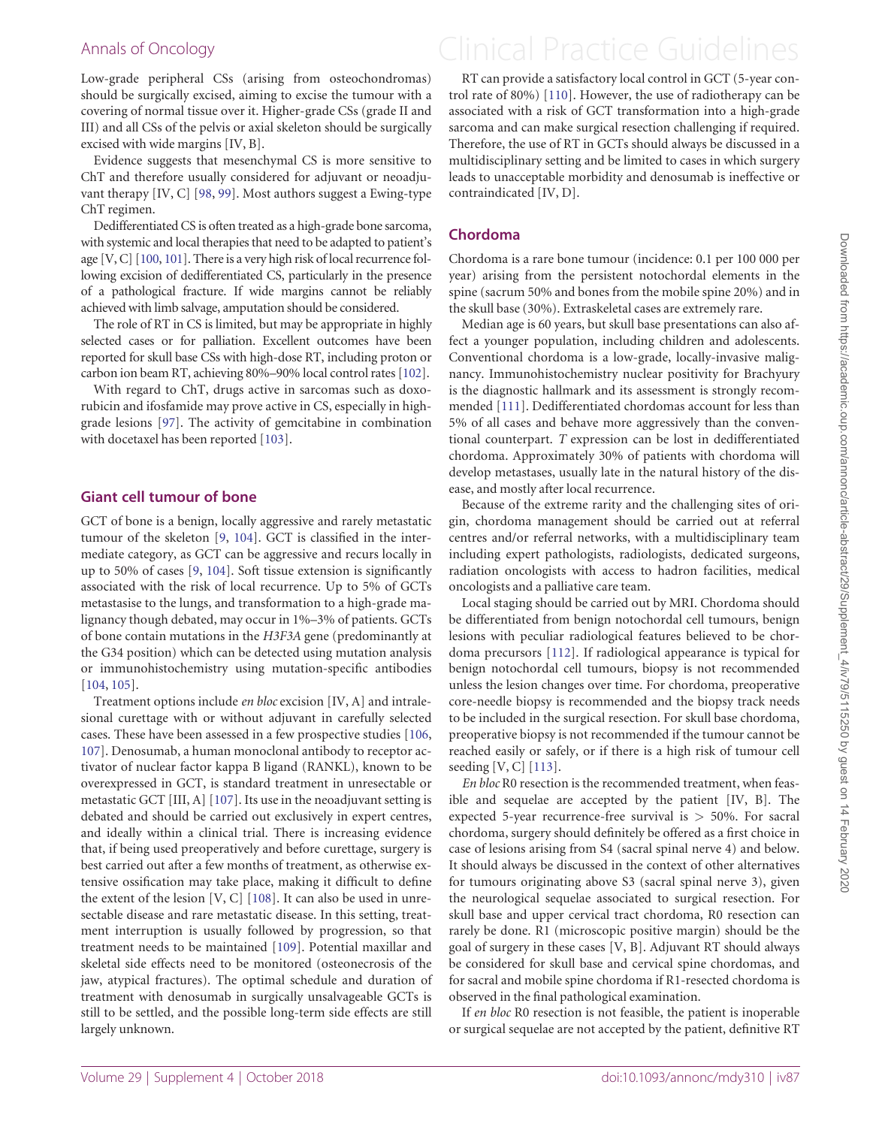Low-grade peripheral CSs (arising from osteochondromas) should be surgically excised, aiming to excise the tumour with a covering of normal tissue over it. Higher-grade CSs (grade II and III) and all CSs of the pelvis or axial skeleton should be surgically excised with wide margins [IV, B].

Evidence suggests that mesenchymal CS is more sensitive to ChT and therefore usually considered for adjuvant or neoadjuvant therapy [IV, C] [[98,](#page-15-0) [99](#page-15-0)]. Most authors suggest a Ewing-type ChT regimen.

Dedifferentiated CS is often treated as a high-grade bone sarcoma, with systemic and local therapies that need to be adapted to patient's age [V, C] [\[100](#page-15-0), [101](#page-15-0)]. There is a very high risk of local recurrence following excision of dedifferentiated CS, particularly in the presence of a pathological fracture. If wide margins cannot be reliably achieved with limb salvage, amputation should be considered.

The role of RT in CS is limited, but may be appropriate in highly selected cases or for palliation. Excellent outcomes have been reported for skull base CSs with high-dose RT, including proton or carbon ion beam RT, achieving 80%–90% local control rates [[102\]](#page-15-0).

With regard to ChT, drugs active in sarcomas such as doxorubicin and ifosfamide may prove active in CS, especially in highgrade lesions [[97\]](#page-15-0). The activity of gemcitabine in combination with docetaxel has been reported [[103](#page-15-0)].

### Giant cell tumour of bone

GCT of bone is a benign, locally aggressive and rarely metastatic tumour of the skeleton [[9](#page-13-0), [104\]](#page-15-0). GCT is classified in the intermediate category, as GCT can be aggressive and recurs locally in up to 50% of cases [\[9,](#page-13-0) [104\]](#page-15-0). Soft tissue extension is significantly associated with the risk of local recurrence. Up to 5% of GCTs metastasise to the lungs, and transformation to a high-grade malignancy though debated, may occur in 1%–3% of patients. GCTs of bone contain mutations in the H3F3A gene (predominantly at the G34 position) which can be detected using mutation analysis or immunohistochemistry using mutation-specific antibodies [\[104,](#page-15-0) [105\]](#page-15-0).

Treatment options include en bloc excision [IV, A] and intralesional curettage with or without adjuvant in carefully selected cases. These have been assessed in a few prospective studies [\[106,](#page-15-0) [107](#page-15-0)]. Denosumab, a human monoclonal antibody to receptor activator of nuclear factor kappa B ligand (RANKL), known to be overexpressed in GCT, is standard treatment in unresectable or metastatic GCT [III, A] [\[107\]](#page-15-0). Its use in the neoadjuvant setting is debated and should be carried out exclusively in expert centres, and ideally within a clinical trial. There is increasing evidence that, if being used preoperatively and before curettage, surgery is best carried out after a few months of treatment, as otherwise extensive ossification may take place, making it difficult to define the extent of the lesion [V, C] [[108\]](#page-15-0). It can also be used in unresectable disease and rare metastatic disease. In this setting, treatment interruption is usually followed by progression, so that treatment needs to be maintained [\[109](#page-15-0)]. Potential maxillar and skeletal side effects need to be monitored (osteonecrosis of the jaw, atypical fractures). The optimal schedule and duration of treatment with denosumab in surgically unsalvageable GCTs is still to be settled, and the possible long-term side effects are still largely unknown.

### <span id="page-8-0"></span>Annals of Oncology **Annals of Oncology** Clinical Practice Guidelines

RT can provide a satisfactory local control in GCT (5-year control rate of 80%) [[110](#page-15-0)]. However, the use of radiotherapy can be associated with a risk of GCT transformation into a high-grade sarcoma and can make surgical resection challenging if required. Therefore, the use of RT in GCTs should always be discussed in a multidisciplinary setting and be limited to cases in which surgery leads to unacceptable morbidity and denosumab is ineffective or contraindicated [IV, D].

### Chordoma

Chordoma is a rare bone tumour (incidence: 0.1 per 100 000 per year) arising from the persistent notochordal elements in the spine (sacrum 50% and bones from the mobile spine 20%) and in the skull base (30%). Extraskeletal cases are extremely rare.

Median age is 60 years, but skull base presentations can also affect a younger population, including children and adolescents. Conventional chordoma is a low-grade, locally-invasive malignancy. Immunohistochemistry nuclear positivity for Brachyury is the diagnostic hallmark and its assessment is strongly recommended [[111](#page-15-0)]. Dedifferentiated chordomas account for less than 5% of all cases and behave more aggressively than the conventional counterpart. T expression can be lost in dedifferentiated chordoma. Approximately 30% of patients with chordoma will develop metastases, usually late in the natural history of the disease, and mostly after local recurrence.

Because of the extreme rarity and the challenging sites of origin, chordoma management should be carried out at referral centres and/or referral networks, with a multidisciplinary team including expert pathologists, radiologists, dedicated surgeons, radiation oncologists with access to hadron facilities, medical oncologists and a palliative care team.

Local staging should be carried out by MRI. Chordoma should be differentiated from benign notochordal cell tumours, benign lesions with peculiar radiological features believed to be chordoma precursors [[112\]](#page-15-0). If radiological appearance is typical for benign notochordal cell tumours, biopsy is not recommended unless the lesion changes over time. For chordoma, preoperative core-needle biopsy is recommended and the biopsy track needs to be included in the surgical resection. For skull base chordoma, preoperative biopsy is not recommended if the tumour cannot be reached easily or safely, or if there is a high risk of tumour cell seeding [V, C] [\[113](#page-15-0)].

En bloc R0 resection is the recommended treatment, when feasible and sequelae are accepted by the patient [IV, B]. The expected 5-year recurrence-free survival is > 50%. For sacral chordoma, surgery should definitely be offered as a first choice in case of lesions arising from S4 (sacral spinal nerve 4) and below. It should always be discussed in the context of other alternatives for tumours originating above S3 (sacral spinal nerve 3), given the neurological sequelae associated to surgical resection. For skull base and upper cervical tract chordoma, R0 resection can rarely be done. R1 (microscopic positive margin) should be the goal of surgery in these cases [V, B]. Adjuvant RT should always be considered for skull base and cervical spine chordomas, and for sacral and mobile spine chordoma if R1-resected chordoma is observed in the final pathological examination.

If en bloc R0 resection is not feasible, the patient is inoperable or surgical sequelae are not accepted by the patient, definitive RT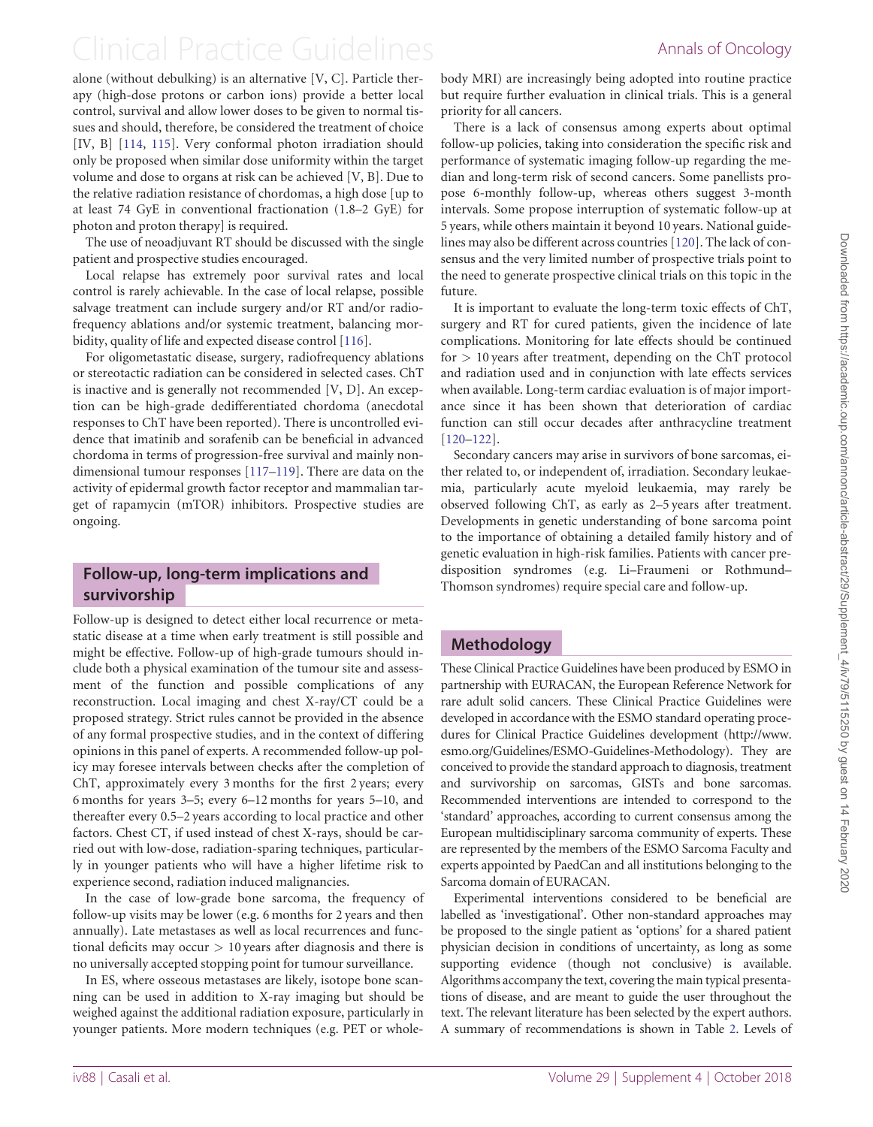<span id="page-9-0"></span>alone (without debulking) is an alternative [V, C]. Particle therapy (high-dose protons or carbon ions) provide a better local control, survival and allow lower doses to be given to normal tissues and should, therefore, be considered the treatment of choice [IV, B] [[114](#page-15-0), [115\]](#page-15-0). Very conformal photon irradiation should only be proposed when similar dose uniformity within the target volume and dose to organs at risk can be achieved [V, B]. Due to the relative radiation resistance of chordomas, a high dose [up to at least 74 GyE in conventional fractionation (1.8–2 GyE) for photon and proton therapy] is required.

The use of neoadjuvant RT should be discussed with the single patient and prospective studies encouraged.

Local relapse has extremely poor survival rates and local control is rarely achievable. In the case of local relapse, possible salvage treatment can include surgery and/or RT and/or radiofrequency ablations and/or systemic treatment, balancing morbidity, quality of life and expected disease control [\[116](#page-15-0)].

For oligometastatic disease, surgery, radiofrequency ablations or stereotactic radiation can be considered in selected cases. ChT is inactive and is generally not recommended [V, D]. An exception can be high-grade dedifferentiated chordoma (anecdotal responses to ChT have been reported). There is uncontrolled evidence that imatinib and sorafenib can be beneficial in advanced chordoma in terms of progression-free survival and mainly nondimensional tumour responses [117–[119](#page-16-0)]. There are data on the activity of epidermal growth factor receptor and mammalian target of rapamycin (mTOR) inhibitors. Prospective studies are ongoing.

### Follow-up, long-term implications and survivorship

Follow-up is designed to detect either local recurrence or metastatic disease at a time when early treatment is still possible and might be effective. Follow-up of high-grade tumours should include both a physical examination of the tumour site and assessment of the function and possible complications of any reconstruction. Local imaging and chest X-ray/CT could be a proposed strategy. Strict rules cannot be provided in the absence of any formal prospective studies, and in the context of differing opinions in this panel of experts. A recommended follow-up policy may foresee intervals between checks after the completion of ChT, approximately every 3 months for the first 2 years; every 6 months for years 3–5; every 6–12 months for years 5–10, and thereafter every 0.5–2 years according to local practice and other factors. Chest CT, if used instead of chest X-rays, should be carried out with low-dose, radiation-sparing techniques, particularly in younger patients who will have a higher lifetime risk to experience second, radiation induced malignancies.

In the case of low-grade bone sarcoma, the frequency of follow-up visits may be lower (e.g. 6 months for 2 years and then annually). Late metastases as well as local recurrences and functional deficits may occur > 10 years after diagnosis and there is no universally accepted stopping point for tumour surveillance.

In ES, where osseous metastases are likely, isotope bone scanning can be used in addition to X-ray imaging but should be weighed against the additional radiation exposure, particularly in younger patients. More modern techniques (e.g. PET or whole-

body MRI) are increasingly being adopted into routine practice but require further evaluation in clinical trials. This is a general priority for all cancers.

There is a lack of consensus among experts about optimal follow-up policies, taking into consideration the specific risk and performance of systematic imaging follow-up regarding the median and long-term risk of second cancers. Some panellists propose 6-monthly follow-up, whereas others suggest 3-month intervals. Some propose interruption of systematic follow-up at 5 years, while others maintain it beyond 10 years. National guidelines may also be different across countries [[120\]](#page-16-0). The lack of consensus and the very limited number of prospective trials point to the need to generate prospective clinical trials on this topic in the future.

It is important to evaluate the long-term toxic effects of ChT, surgery and RT for cured patients, given the incidence of late complications. Monitoring for late effects should be continued for > 10 years after treatment, depending on the ChT protocol and radiation used and in conjunction with late effects services when available. Long-term cardiac evaluation is of major importance since it has been shown that deterioration of cardiac function can still occur decades after anthracycline treatment [[120–122\]](#page-16-0).

Secondary cancers may arise in survivors of bone sarcomas, either related to, or independent of, irradiation. Secondary leukaemia, particularly acute myeloid leukaemia, may rarely be observed following ChT, as early as 2–5 years after treatment. Developments in genetic understanding of bone sarcoma point to the importance of obtaining a detailed family history and of genetic evaluation in high-risk families. Patients with cancer predisposition syndromes (e.g. Li–Fraumeni or Rothmund– Thomson syndromes) require special care and follow-up.

### Methodology

These Clinical Practice Guidelines have been produced by ESMO in partnership with EURACAN, the European Reference Network for rare adult solid cancers. These Clinical Practice Guidelines were developed in accordance with the ESMO standard operating procedures for Clinical Practice Guidelines development [\(http://www.](http://www.esmo.org/Guidelines/ESMO-Guidelines-Methodology) [esmo.org/Guidelines/ESMO-Guidelines-Methodology\)](http://www.esmo.org/Guidelines/ESMO-Guidelines-Methodology). They are conceived to provide the standard approach to diagnosis, treatment and survivorship on sarcomas, GISTs and bone sarcomas. Recommended interventions are intended to correspond to the 'standard' approaches, according to current consensus among the European multidisciplinary sarcoma community of experts. These are represented by the members of the ESMO Sarcoma Faculty and experts appointed by PaedCan and all institutions belonging to the Sarcoma domain of EURACAN.

Experimental interventions considered to be beneficial are labelled as 'investigational'. Other non-standard approaches may be proposed to the single patient as 'options' for a shared patient physician decision in conditions of uncertainty, as long as some supporting evidence (though not conclusive) is available. Algorithms accompany the text, covering the main typical presentations of disease, and are meant to guide the user throughout the text. The relevant literature has been selected by the expert authors. A summary of recommendations is shown in Table [2](#page-10-0). Levels of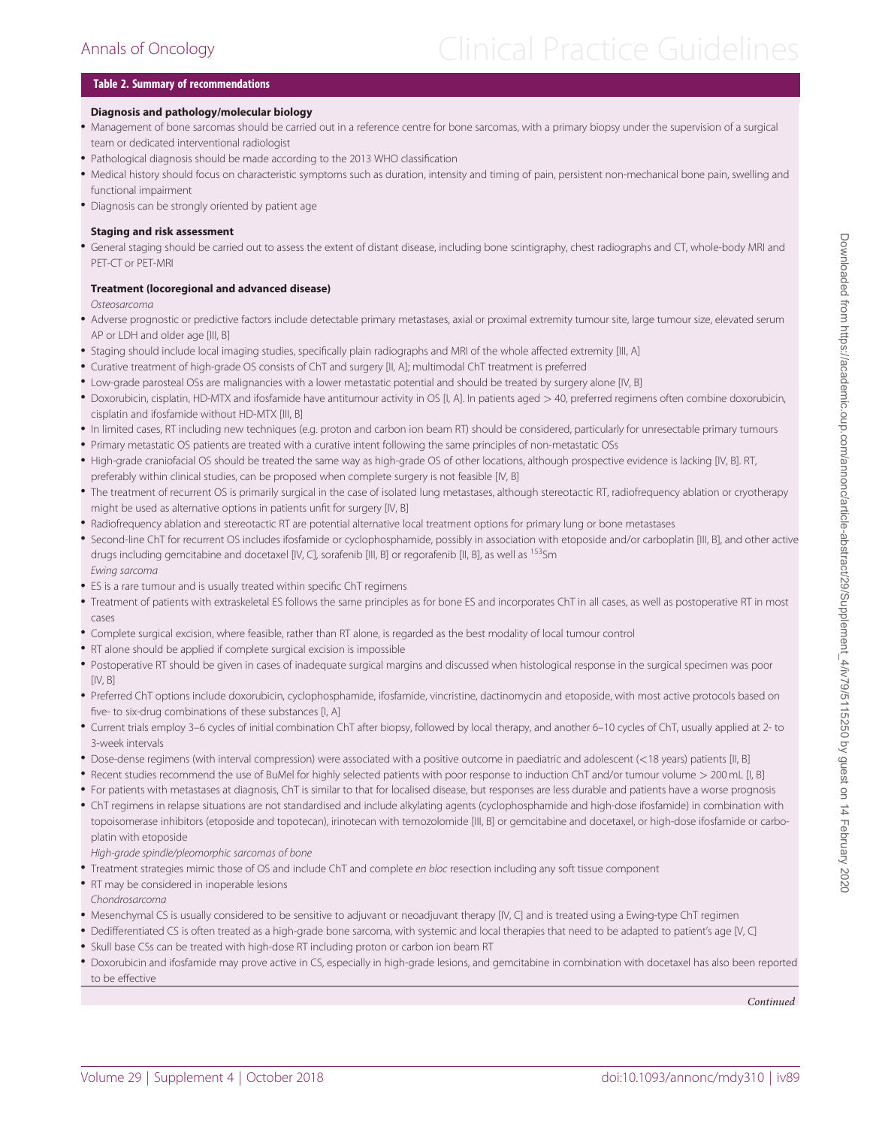## <span id="page-10-0"></span>Annals of Oncology **Clinical Practice Guidelines**

#### Table 2. Summary of recommendations

#### Diagnosis and pathology/molecular biology

- Management of bone sarcomas should be carried out in a reference centre for bone sarcomas, with a primary biopsy under the supervision of a surgical team or dedicated interventional radiologist
- Pathological diagnosis should be made according to the 2013 WHO classification
- Medical history should focus on characteristic symptoms such as duration, intensity and timing of pain, persistent non-mechanical bone pain, swelling and functional impairment
- Diagnosis can be strongly oriented by patient age

#### Staging and risk assessment

• General staging should be carried out to assess the extent of distant disease, including bone scintigraphy, chest radiographs and CT, whole-body MRI and PET-CT or PET-MRI

#### Treatment (locoregional and advanced disease)

Osteosarcoma

- Adverse prognostic or predictive factors include detectable primary metastases, axial or proximal extremity tumour site, large tumour size, elevated serum AP or LDH and older age [III, B]
- Staging should include local imaging studies, specifically plain radiographs and MRI of the whole affected extremity [III, A]
- Curative treatment of high-grade OS consists of ChT and surgery [II, A]; multimodal ChT treatment is preferred
- Low-grade parosteal OSs are malignancies with a lower metastatic potential and should be treated by surgery alone [IV, B]
- Doxorubicin, cisplatin, HD-MTX and ifosfamide have antitumour activity in OS [I, A]. In patients aged > 40, preferred regimens often combine doxorubicin, cisplatin and ifosfamide without HD-MTX [III, B]
- In limited cases, RT including new techniques (e.g. proton and carbon ion beam RT) should be considered, particularly for unresectable primary tumours
- Primary metastatic OS patients are treated with a curative intent following the same principles of non-metastatic OSs
- High-grade craniofacial OS should be treated the same way as high-grade OS of other locations, although prospective evidence is lacking [IV, B]. RT, preferably within clinical studies, can be proposed when complete surgery is not feasible [IV, B]
- The treatment of recurrent OS is primarily surgical in the case of isolated lung metastases, although stereotactic RT, radiofrequency ablation or cryotherapy might be used as alternative options in patients unfit for surgery [IV, B]
- Radiofrequency ablation and stereotactic RT are potential alternative local treatment options for primary lung or bone metastases
- Second-line ChT for recurrent OS includes ifosfamide or cyclophosphamide, possibly in association with etoposide and/or carboplatin [III, B], and other active drugs including gemcitabine and docetaxel [IV, C], sorafenib [III, B] or regorafenib [II, B], as well as <sup>153</sup>Sm Ewing sarcoma
- ES is a rare tumour and is usually treated within specific ChT regimens
- Treatment of patients with extraskeletal ES follows the same principles as for bone ES and incorporates ChT in all cases, as well as postoperative RT in most cases
- Complete surgical excision, where feasible, rather than RT alone, is regarded as the best modality of local tumour control
- RT alone should be applied if complete surgical excision is impossible
- Postoperative RT should be given in cases of inadequate surgical margins and discussed when histological response in the surgical specimen was poor  $[IV, B]$
- Preferred ChT options include doxorubicin, cyclophosphamide, ifosfamide, vincristine, dactinomycin and etoposide, with most active protocols based on five- to six-drug combinations of these substances [I, A]
- Current trials employ 3–6 cycles of initial combination ChT after biopsy, followed by local therapy, and another 6–10 cycles of ChT, usually applied at 2- to 3-week intervals
- Dose-dense regimens (with interval compression) were associated with a positive outcome in paediatric and adolescent (<18 years) patients [II, B]
- Recent studies recommend the use of BuMel for highly selected patients with poor response to induction ChT and/or tumour volume > 200 mL [I, B]
- For patients with metastases at diagnosis, ChT is similar to that for localised disease, but responses are less durable and patients have a worse prognosis
- ChT regimens in relapse situations are not standardised and include alkylating agents (cyclophosphamide and high-dose ifosfamide) in combination with topoisomerase inhibitors (etoposide and topotecan), irinotecan with temozolomide [III, B] or gemcitabine and docetaxel, or high-dose ifosfamide or carboplatin with etoposide

High-grade spindle/pleomorphic sarcomas of bone

- Treatment strategies mimic those of OS and include ChT and complete en bloc resection including any soft tissue component
- RT may be considered in inoperable lesions
- Chondrosarcoma
- Mesenchymal CS is usually considered to be sensitive to adjuvant or neoadjuvant therapy [IV, C] and is treated using a Ewing-type ChT regimen
- Dedifferentiated CS is often treated as a high-grade bone sarcoma, with systemic and local therapies that need to be adapted to patient's age [V, C]
- Skull base CSs can be treated with high-dose RT including proton or carbon ion beam RT
- Doxorubicin and ifosfamide may prove active in CS, especially in high-grade lesions, and gemcitabine in combination with docetaxel has also been reported to be effective

Continued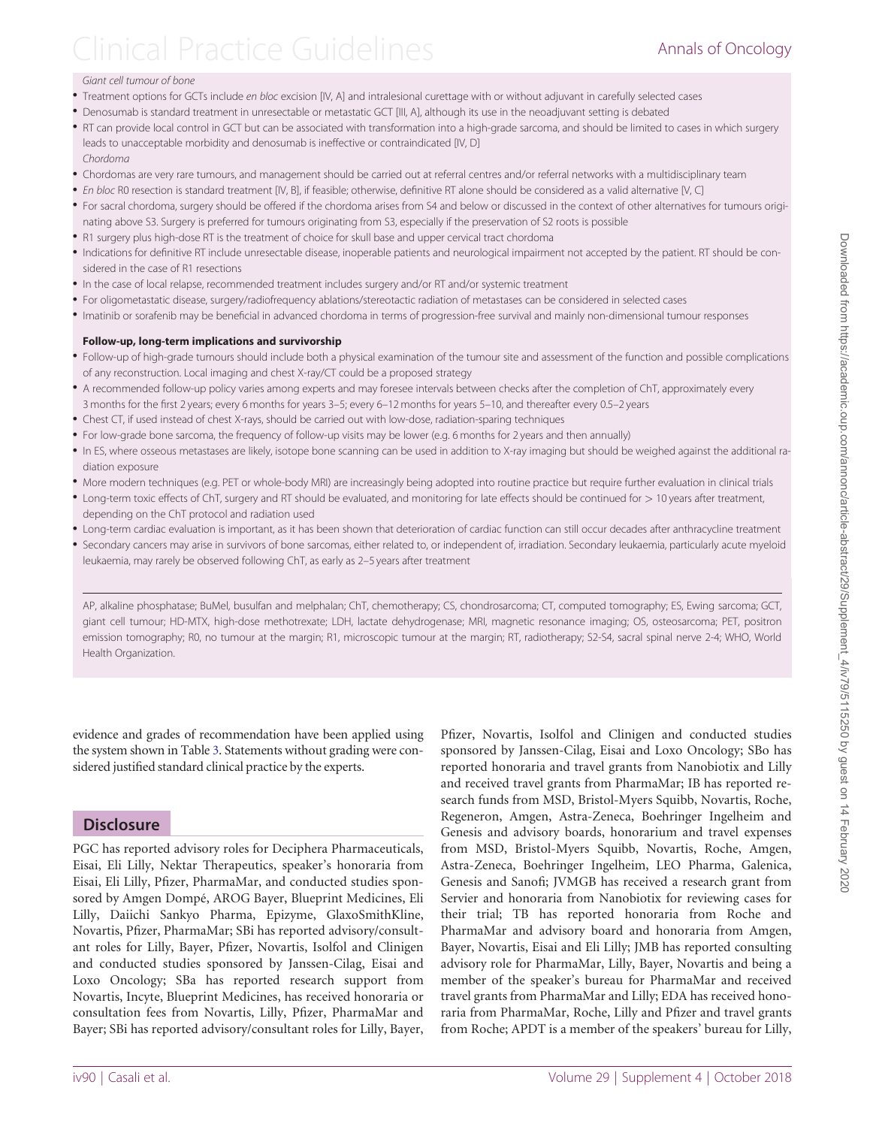#### Giant cell tumour of bone

- Treatment options for GCTs include en bloc excision [IV, A] and intralesional curettage with or without adjuvant in carefully selected cases
- Denosumab is standard treatment in unresectable or metastatic GCT [III, A], although its use in the neoadjuvant setting is debated
- RT can provide local control in GCT but can be associated with transformation into a high-grade sarcoma, and should be limited to cases in which surgery leads to unacceptable morbidity and denosumab is ineffective or contraindicated [IV, D] Chordoma
- Chordomas are very rare tumours, and management should be carried out at referral centres and/or referral networks with a multidisciplinary team
- En bloc R0 resection is standard treatment [IV, B], if feasible; otherwise, definitive RT alone should be considered as a valid alternative [V, C]
- For sacral chordoma, surgery should be offered if the chordoma arises from S4 and below or discussed in the context of other alternatives for tumours originating above S3. Surgery is preferred for tumours originating from S3, especially if the preservation of S2 roots is possible
- R1 surgery plus high-dose RT is the treatment of choice for skull base and upper cervical tract chordoma
- Indications for definitive RT include unresectable disease, inoperable patients and neurological impairment not accepted by the patient. RT should be considered in the case of R1 resections
- In the case of local relapse, recommended treatment includes surgery and/or RT and/or systemic treatment
- For oligometastatic disease, surgery/radiofrequency ablations/stereotactic radiation of metastases can be considered in selected cases
- Imatinib or sorafenib may be beneficial in advanced chordoma in terms of progression-free survival and mainly non-dimensional tumour responses

#### Follow-up, long-term implications and survivorship

- Follow-up of high-grade tumours should include both a physical examination of the tumour site and assessment of the function and possible complications of any reconstruction. Local imaging and chest X-ray/CT could be a proposed strategy
- A recommended follow-up policy varies among experts and may foresee intervals between checks after the completion of ChT, approximately every 3 months for the first 2 years; every 6 months for years 3–5; every 6–12 months for years 5–10, and thereafter every 0.5–2 years
- Chest CT, if used instead of chest X-rays, should be carried out with low-dose, radiation-sparing techniques
- For low-grade bone sarcoma, the frequency of follow-up visits may be lower (e.g. 6 months for 2 years and then annually)
- In ES, where osseous metastases are likely, isotope bone scanning can be used in addition to X-ray imaging but should be weighed against the additional radiation exposure
- More modern techniques (e.g. PET or whole-body MRI) are increasingly being adopted into routine practice but require further evaluation in clinical trials
- Long-term toxic effects of ChT, surgery and RT should be evaluated, and monitoring for late effects should be continued for > 10 years after treatment, depending on the ChT protocol and radiation used
- Long-term cardiac evaluation is important, as it has been shown that deterioration of cardiac function can still occur decades after anthracycline treatment
- Secondary cancers may arise in survivors of bone sarcomas, either related to, or independent of, irradiation. Secondary leukaemia, particularly acute myeloid leukaemia, may rarely be observed following ChT, as early as 2–5 years after treatment

AP, alkaline phosphatase; BuMel, busulfan and melphalan; ChT, chemotherapy; CS, chondrosarcoma; CT, computed tomography; ES, Ewing sarcoma; GCT, giant cell tumour; HD-MTX, high-dose methotrexate; LDH, lactate dehydrogenase; MRI, magnetic resonance imaging; OS, osteosarcoma; PET, positron emission tomography; R0, no tumour at the margin; R1, microscopic tumour at the margin; RT, radiotherapy; S2-S4, sacral spinal nerve 2-4; WHO, World Health Organization.

evidence and grades of recommendation have been applied using the system shown in Table [3.](#page-12-0) Statements without grading were considered justified standard clinical practice by the experts.

### **Disclosure**

PGC has reported advisory roles for Deciphera Pharmaceuticals, Eisai, Eli Lilly, Nektar Therapeutics, speaker's honoraria from Eisai, Eli Lilly, Pfizer, PharmaMar, and conducted studies sponsored by Amgen Dompé, AROG Bayer, Blueprint Medicines, Eli Lilly, Daiichi Sankyo Pharma, Epizyme, GlaxoSmithKline, Novartis, Pfizer, PharmaMar; SBi has reported advisory/consultant roles for Lilly, Bayer, Pfizer, Novartis, Isolfol and Clinigen and conducted studies sponsored by Janssen-Cilag, Eisai and Loxo Oncology; SBa has reported research support from Novartis, Incyte, Blueprint Medicines, has received honoraria or consultation fees from Novartis, Lilly, Pfizer, PharmaMar and Bayer; SBi has reported advisory/consultant roles for Lilly, Bayer, Pfizer, Novartis, Isolfol and Clinigen and conducted studies sponsored by Janssen-Cilag, Eisai and Loxo Oncology; SBo has reported honoraria and travel grants from Nanobiotix and Lilly and received travel grants from PharmaMar; IB has reported research funds from MSD, Bristol-Myers Squibb, Novartis, Roche, Regeneron, Amgen, Astra-Zeneca, Boehringer Ingelheim and Genesis and advisory boards, honorarium and travel expenses from MSD, Bristol-Myers Squibb, Novartis, Roche, Amgen, Astra-Zeneca, Boehringer Ingelheim, LEO Pharma, Galenica, Genesis and Sanofi; JVMGB has received a research grant from Servier and honoraria from Nanobiotix for reviewing cases for their trial; TB has reported honoraria from Roche and PharmaMar and advisory board and honoraria from Amgen, Bayer, Novartis, Eisai and Eli Lilly; JMB has reported consulting advisory role for PharmaMar, Lilly, Bayer, Novartis and being a member of the speaker's bureau for PharmaMar and received travel grants from PharmaMar and Lilly; EDA has received honoraria from PharmaMar, Roche, Lilly and Pfizer and travel grants from Roche; APDT is a member of the speakers' bureau for Lilly,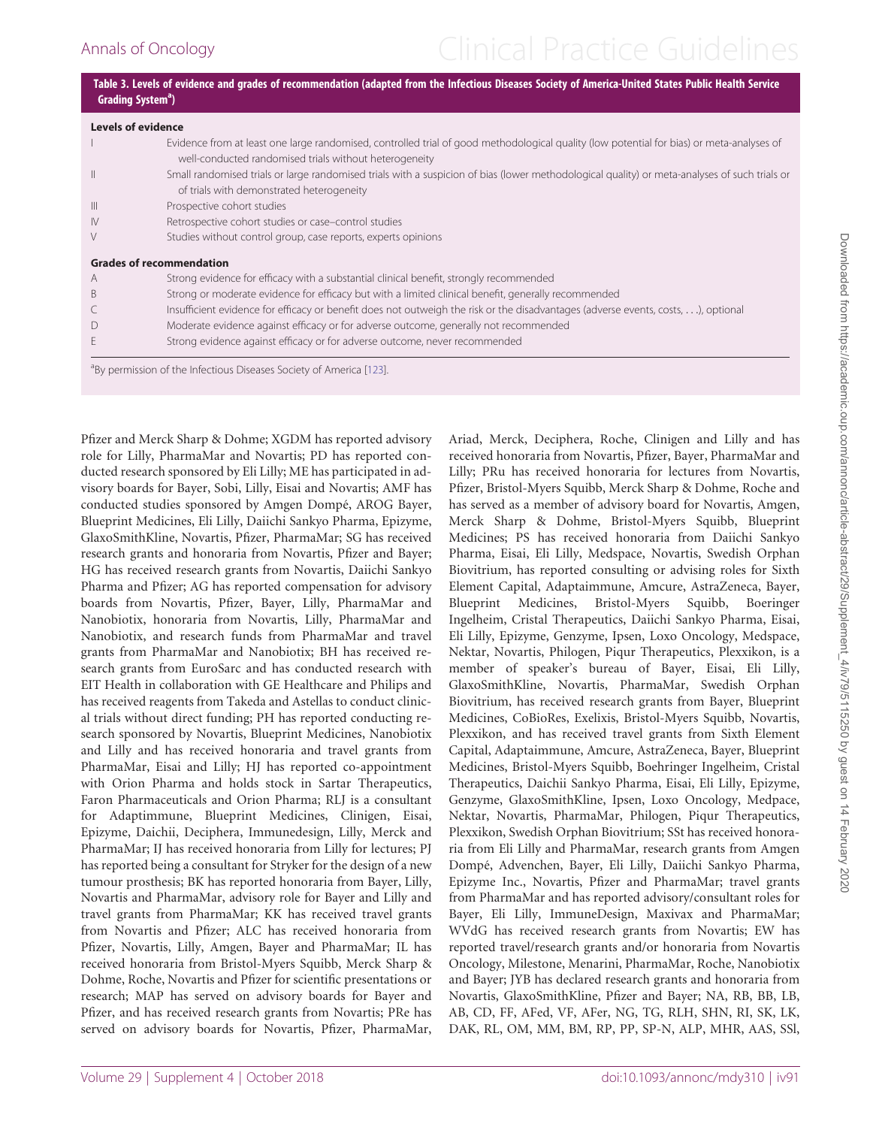# <span id="page-12-0"></span>Annals of Oncology **Clinical Practice Guidelines**

#### Table 3. Levels of evidence and grades of recommendation (adapted from the Infectious Diseases Society of America-United States Public Health Service Grading System<sup>a</sup>)

| <b>Levels of evidence</b> |                                                                                                                                                                                                     |
|---------------------------|-----------------------------------------------------------------------------------------------------------------------------------------------------------------------------------------------------|
|                           | Evidence from at least one large randomised, controlled trial of good methodological quality (low potential for bias) or meta-analyses of<br>well-conducted randomised trials without heterogeneity |
| Ш                         | Small randomised trials or large randomised trials with a suspicion of bias (lower methodological quality) or meta-analyses of such trials or<br>of trials with demonstrated heterogeneity          |
| $\mathbb{H}$              | Prospective cohort studies                                                                                                                                                                          |
| $\mathsf{IV}$             | Retrospective cohort studies or case-control studies                                                                                                                                                |
| V                         | Studies without control group, case reports, experts opinions                                                                                                                                       |
|                           | <b>Grades of recommendation</b>                                                                                                                                                                     |
| A                         | Strong evidence for efficacy with a substantial clinical benefit, strongly recommended                                                                                                              |
| B                         | Strong or moderate evidence for efficacy but with a limited clinical benefit, generally recommended                                                                                                 |
| C                         | Insufficient evidence for efficacy or benefit does not outweigh the risk or the disadvantages (adverse events, costs,), optional                                                                    |
| D                         | Moderate evidence against efficacy or for adverse outcome, generally not recommended                                                                                                                |
| E                         | Strong evidence against efficacy or for adverse outcome, never recommended                                                                                                                          |

<sup>a</sup>By permission of the Infectious Diseases Society of America [[123](#page-16-0)].

Pfizer and Merck Sharp & Dohme; XGDM has reported advisory role for Lilly, PharmaMar and Novartis; PD has reported conducted research sponsored by Eli Lilly; ME has participated in advisory boards for Bayer, Sobi, Lilly, Eisai and Novartis; AMF has conducted studies sponsored by Amgen Dompé, AROG Bayer, Blueprint Medicines, Eli Lilly, Daiichi Sankyo Pharma, Epizyme, GlaxoSmithKline, Novartis, Pfizer, PharmaMar; SG has received research grants and honoraria from Novartis, Pfizer and Bayer; HG has received research grants from Novartis, Daiichi Sankyo Pharma and Pfizer; AG has reported compensation for advisory boards from Novartis, Pfizer, Bayer, Lilly, PharmaMar and Nanobiotix, honoraria from Novartis, Lilly, PharmaMar and Nanobiotix, and research funds from PharmaMar and travel grants from PharmaMar and Nanobiotix; BH has received research grants from EuroSarc and has conducted research with EIT Health in collaboration with GE Healthcare and Philips and has received reagents from Takeda and Astellas to conduct clinical trials without direct funding; PH has reported conducting research sponsored by Novartis, Blueprint Medicines, Nanobiotix and Lilly and has received honoraria and travel grants from PharmaMar, Eisai and Lilly; HJ has reported co-appointment with Orion Pharma and holds stock in Sartar Therapeutics, Faron Pharmaceuticals and Orion Pharma; RLJ is a consultant for Adaptimmune, Blueprint Medicines, Clinigen, Eisai, Epizyme, Daichii, Deciphera, Immunedesign, Lilly, Merck and PharmaMar; IJ has received honoraria from Lilly for lectures; PJ has reported being a consultant for Stryker for the design of a new tumour prosthesis; BK has reported honoraria from Bayer, Lilly, Novartis and PharmaMar, advisory role for Bayer and Lilly and travel grants from PharmaMar; KK has received travel grants from Novartis and Pfizer; ALC has received honoraria from Pfizer, Novartis, Lilly, Amgen, Bayer and PharmaMar; IL has received honoraria from Bristol-Myers Squibb, Merck Sharp & Dohme, Roche, Novartis and Pfizer for scientific presentations or research; MAP has served on advisory boards for Bayer and Pfizer, and has received research grants from Novartis; PRe has served on advisory boards for Novartis, Pfizer, PharmaMar,

Ariad, Merck, Deciphera, Roche, Clinigen and Lilly and has received honoraria from Novartis, Pfizer, Bayer, PharmaMar and Lilly; PRu has received honoraria for lectures from Novartis, Pfizer, Bristol-Myers Squibb, Merck Sharp & Dohme, Roche and has served as a member of advisory board for Novartis, Amgen, Merck Sharp & Dohme, Bristol-Myers Squibb, Blueprint Medicines; PS has received honoraria from Daiichi Sankyo Pharma, Eisai, Eli Lilly, Medspace, Novartis, Swedish Orphan Biovitrium, has reported consulting or advising roles for Sixth Element Capital, Adaptaimmune, Amcure, AstraZeneca, Bayer, Blueprint Medicines, Bristol-Myers Squibb, Boeringer Ingelheim, Cristal Therapeutics, Daiichi Sankyo Pharma, Eisai, Eli Lilly, Epizyme, Genzyme, Ipsen, Loxo Oncology, Medspace, Nektar, Novartis, Philogen, Piqur Therapeutics, Plexxikon, is a member of speaker's bureau of Bayer, Eisai, Eli Lilly, GlaxoSmithKline, Novartis, PharmaMar, Swedish Orphan Biovitrium, has received research grants from Bayer, Blueprint Medicines, CoBioRes, Exelixis, Bristol-Myers Squibb, Novartis, Plexxikon, and has received travel grants from Sixth Element Capital, Adaptaimmune, Amcure, AstraZeneca, Bayer, Blueprint Medicines, Bristol-Myers Squibb, Boehringer Ingelheim, Cristal Therapeutics, Daichii Sankyo Pharma, Eisai, Eli Lilly, Epizyme, Genzyme, GlaxoSmithKline, Ipsen, Loxo Oncology, Medpace, Nektar, Novartis, PharmaMar, Philogen, Piqur Therapeutics, Plexxikon, Swedish Orphan Biovitrium; SSt has received honoraria from Eli Lilly and PharmaMar, research grants from Amgen Dompé, Advenchen, Bayer, Eli Lilly, Daiichi Sankyo Pharma, Epizyme Inc., Novartis, Pfizer and PharmaMar; travel grants from PharmaMar and has reported advisory/consultant roles for Bayer, Eli Lilly, ImmuneDesign, Maxivax and PharmaMar; WVdG has received research grants from Novartis; EW has reported travel/research grants and/or honoraria from Novartis Oncology, Milestone, Menarini, PharmaMar, Roche, Nanobiotix and Bayer; JYB has declared research grants and honoraria from Novartis, GlaxoSmithKline, Pfizer and Bayer; NA, RB, BB, LB, AB, CD, FF, AFed, VF, AFer, NG, TG, RLH, SHN, RI, SK, LK, DAK, RL, OM, MM, BM, RP, PP, SP-N, ALP, MHR, AAS, SSl,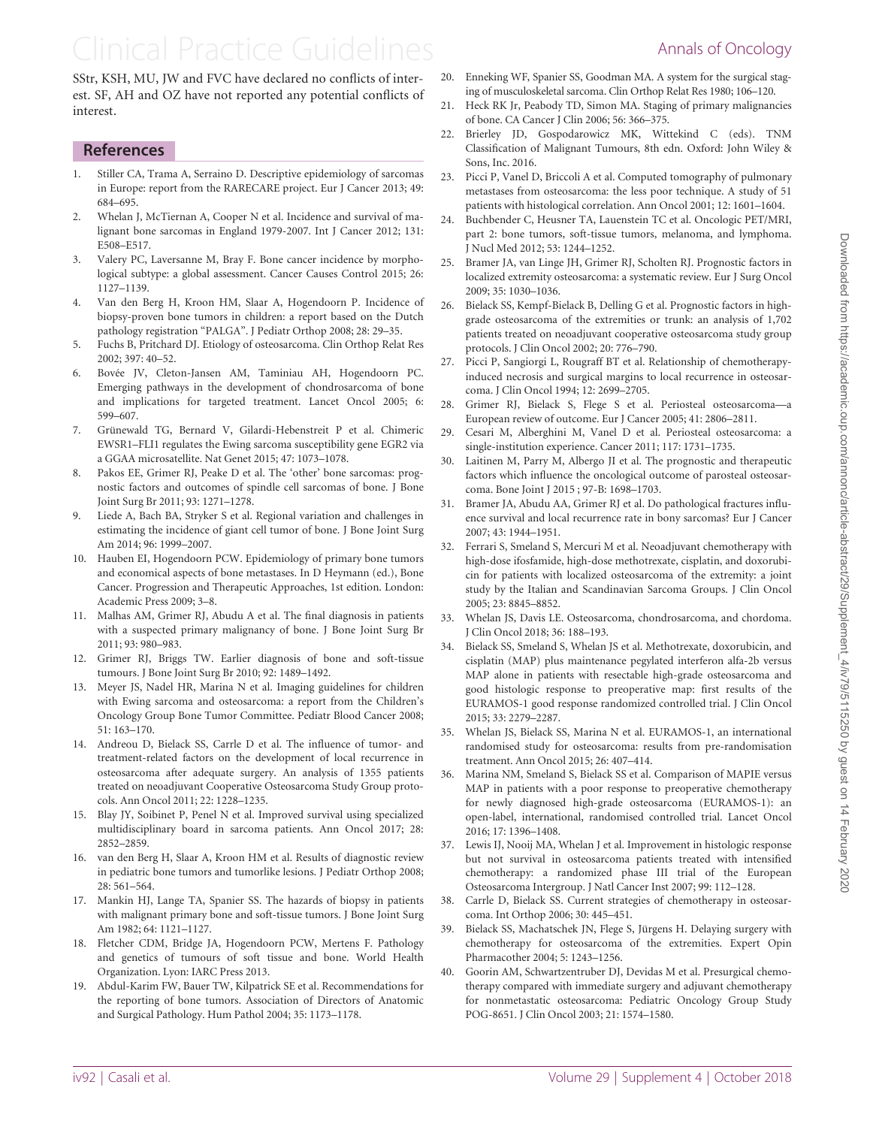<span id="page-13-0"></span>SStr, KSH, MU, JW and FVC have declared no conflicts of interest. SF, AH and OZ have not reported any potential conflicts of interest.

### References

- [1.](#page-1-0) Stiller CA, Trama A, Serraino D. Descriptive epidemiology of sarcomas in Europe: report from the RARECARE project. Eur J Cancer 2013; 49: 684–695.
- Whelan J, McTiernan A, Cooper N et al. Incidence and survival of malignant bone sarcomas in England 1979-2007. Int J Cancer 2012; 131: E508–E517.
- 3. Valery PC, Laversanne M, Bray F. Bone cancer incidence by morphological subtype: a global assessment. Cancer Causes Control 2015; 26: 1127–1139.
- [4.](#page-4-0) Van den Berg H, Kroon HM, Slaar A, Hogendoorn P. Incidence of biopsy-proven bone tumors in children: a report based on the Dutch pathology registration "PALGA". J Pediatr Orthop 2008; 28: 29–35.
- [5.](#page-1-0) Fuchs B, Pritchard DJ. Etiology of osteosarcoma. Clin Orthop Relat Res 2002; 397: 40–52.
- [6.](#page-1-0) Bovée JV, Cleton-Jansen AM, Taminiau AH, Hogendoorn PC. Emerging pathways in the development of chondrosarcoma of bone and implications for targeted treatment. Lancet Oncol 2005; 6: 599–607.
- [7.](#page-1-0) Grünewald TG, Bernard V, Gilardi-Hebenstreit P et al. Chimeric EWSR1–FLI1 regulates the Ewing sarcoma susceptibility gene EGR2 via a GGAA microsatellite. Nat Genet 2015; 47: 1073–1078.
- Pakos EE, Grimer RJ, Peake D et al. The 'other' bone sarcomas: prognostic factors and outcomes of spindle cell sarcomas of bone. J Bone Joint Surg Br 2011; 93: 1271–1278.
- [9.](#page-1-0) Liede A, Bach BA, Stryker S et al. Regional variation and challenges in estimating the incidence of giant cell tumor of bone. J Bone Joint Surg Am 2014; 96: 1999–2007.
- 10. Hauben EI, Hogendoorn PCW. Epidemiology of primary bone tumors and economical aspects of bone metastases. In D Heymann (ed.), Bone Cancer. Progression and Therapeutic Approaches, 1st edition. London: Academic Press 2009; 3–8.
- 11. Malhas AM, Grimer RJ, Abudu A et al. The final diagnosis in patients with a suspected primary malignancy of bone. J Bone Joint Surg Br 2011; 93: 980–983.
- [12.](#page-1-0) Grimer RJ, Briggs TW. Earlier diagnosis of bone and soft-tissue tumours. J Bone Joint Surg Br 2010; 92: 1489–1492.
- [13.](#page-1-0) Meyer JS, Nadel HR, Marina N et al. Imaging guidelines for children with Ewing sarcoma and osteosarcoma: a report from the Children's Oncology Group Bone Tumor Committee. Pediatr Blood Cancer 2008; 51: 163–170.
- 14. Andreou D, Bielack SS, Carrle D et al. The influence of tumor- and treatment-related factors on the development of local recurrence in osteosarcoma after adequate surgery. An analysis of 1355 patients treated on neoadjuvant Cooperative Osteosarcoma Study Group protocols. Ann Oncol 2011; 22: 1228–1235.
- 15. Blay JY, Soibinet P, Penel N et al. Improved survival using specialized multidisciplinary board in sarcoma patients. Ann Oncol 2017; 28: 2852–2859.
- 16. van den Berg H, Slaar A, Kroon HM et al. Results of diagnostic review in pediatric bone tumors and tumorlike lesions. J Pediatr Orthop 2008; 28: 561–564.
- 17. Mankin HJ, Lange TA, Spanier SS. The hazards of biopsy in patients with malignant primary bone and soft-tissue tumors. J Bone Joint Surg Am 1982; 64: 1121–1127.
- [18.](#page-2-0) Fletcher CDM, Bridge JA, Hogendoorn PCW, Mertens F. Pathology and genetics of tumours of soft tissue and bone. World Health Organization. Lyon: IARC Press 2013.
- [19.](#page-2-0) Abdul-Karim FW, Bauer TW, Kilpatrick SE et al. Recommendations for the reporting of bone tumors. Association of Directors of Anatomic and Surgical Pathology. Hum Pathol 2004; 35: 1173–1178.
- [20.](#page-2-0) Enneking WF, Spanier SS, Goodman MA. A system for the surgical staging of musculoskeletal sarcoma. Clin Orthop Relat Res 1980; 106–120.
- 21. Heck RK Jr, Peabody TD, Simon MA. Staging of primary malignancies of bone. CA Cancer J Clin 2006; 56: 366–375.
- 22. Brierley JD, Gospodarowicz MK, Wittekind C (eds). TNM Classification of Malignant Tumours, 8th edn. Oxford: John Wiley & Sons, Inc. 2016.
- [23.](#page-2-0) Picci P, Vanel D, Briccoli A et al. Computed tomography of pulmonary metastases from osteosarcoma: the less poor technique. A study of 51 patients with histological correlation. Ann Oncol 2001; 12: 1601–1604.
- [24.](#page-2-0) Buchbender C, Heusner TA, Lauenstein TC et al. Oncologic PET/MRI, part 2: bone tumors, soft-tissue tumors, melanoma, and lymphoma. J Nucl Med 2012; 53: 1244–1252.
- [25.](#page-3-0) Bramer JA, van Linge JH, Grimer RJ, Scholten RJ. Prognostic factors in localized extremity osteosarcoma: a systematic review. Eur J Surg Oncol 2009; 35: 1030–1036.
- [26.](#page-3-0) Bielack SS, Kempf-Bielack B, Delling G et al. Prognostic factors in highgrade osteosarcoma of the extremities or trunk: an analysis of 1,702 patients treated on neoadjuvant cooperative osteosarcoma study group protocols. J Clin Oncol 2002; 20: 776–790.
- [27.](#page-3-0) Picci P, Sangiorgi L, Rougraff BT et al. Relationship of chemotherapyinduced necrosis and surgical margins to local recurrence in osteosarcoma. J Clin Oncol 1994; 12: 2699–2705.
- 28. Grimer RJ, Bielack S, Flege S et al. Periosteal osteosarcoma—a European review of outcome. Eur J Cancer 2005; 41: 2806–2811.
- 29. Cesari M, Alberghini M, Vanel D et al. Periosteal osteosarcoma: a single-institution experience. Cancer 2011; 117: 1731–1735.
- 30. Laitinen M, Parry M, Albergo JI et al. The prognostic and therapeutic factors which influence the oncological outcome of parosteal osteosarcoma. Bone Joint J 2015 ; 97-B: 1698–1703.
- [31.](#page-3-0) Bramer JA, Abudu AA, Grimer RJ et al. Do pathological fractures influence survival and local recurrence rate in bony sarcomas? Eur J Cancer 2007; 43: 1944–1951.
- 32. Ferrari S, Smeland S, Mercuri M et al. Neoadjuvant chemotherapy with high-dose ifosfamide, high-dose methotrexate, cisplatin, and doxorubicin for patients with localized osteosarcoma of the extremity: a joint study by the Italian and Scandinavian Sarcoma Groups. J Clin Oncol 2005; 23: 8845–8852.
- [33.](#page-7-0) Whelan JS, Davis LE. Osteosarcoma, chondrosarcoma, and chordoma. J Clin Oncol 2018; 36: 188–193.
- [34.](#page-3-0) Bielack SS, Smeland S, Whelan JS et al. Methotrexate, doxorubicin, and cisplatin (MAP) plus maintenance pegylated interferon alfa-2b versus MAP alone in patients with resectable high-grade osteosarcoma and good histologic response to preoperative map: first results of the EURAMOS-1 good response randomized controlled trial. J Clin Oncol 2015; 33: 2279–2287.
- [35.](#page-3-0) Whelan JS, Bielack SS, Marina N et al. EURAMOS-1, an international randomised study for osteosarcoma: results from pre-randomisation treatment. Ann Oncol 2015; 26: 407–414.
- [36.](#page-3-0) Marina NM, Smeland S, Bielack SS et al. Comparison of MAPIE versus MAP in patients with a poor response to preoperative chemotherapy for newly diagnosed high-grade osteosarcoma (EURAMOS-1): an open-label, international, randomised controlled trial. Lancet Oncol 2016; 17: 1396–1408.
- 37. Lewis IJ, Nooij MA, Whelan J et al. Improvement in histologic response but not survival in osteosarcoma patients treated with intensified chemotherapy: a randomized phase III trial of the European Osteosarcoma Intergroup. J Natl Cancer Inst 2007; 99: 112–128.
- 38. Carrle D, Bielack SS. Current strategies of chemotherapy in osteosarcoma. Int Orthop 2006; 30: 445–451.
- 39. Bielack SS, Machatschek JN, Flege S, Jürgens H. Delaying surgery with chemotherapy for osteosarcoma of the extremities. Expert Opin Pharmacother 2004; 5: 1243–1256.
- 40. Goorin AM, Schwartzentruber DJ, Devidas M et al. Presurgical chemotherapy compared with immediate surgery and adjuvant chemotherapy for nonmetastatic osteosarcoma: Pediatric Oncology Group Study POG-8651. J Clin Oncol 2003; 21: 1574–1580.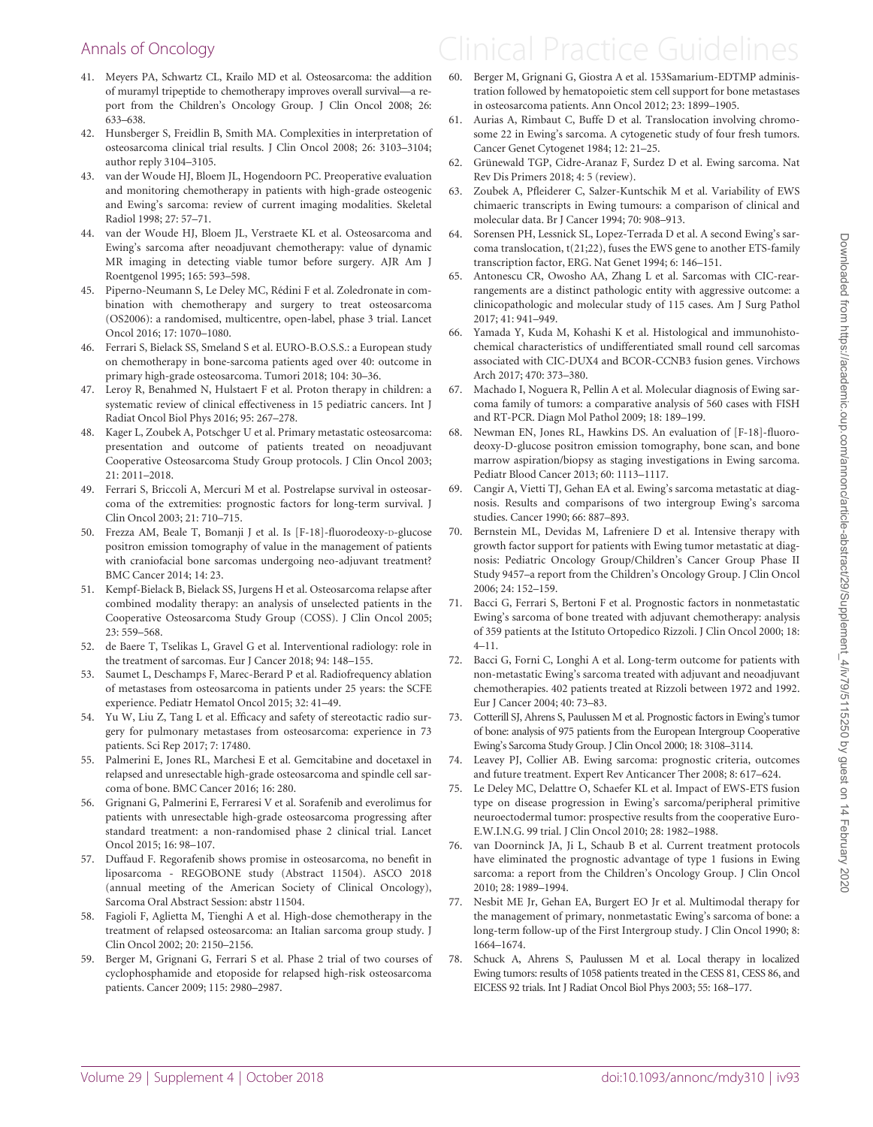## <span id="page-14-0"></span>Annals of Oncology **Annals of Oncology Clinical Practice Guidelines**

- [41](#page-3-0). Meyers PA, Schwartz CL, Krailo MD et al. Osteosarcoma: the addition of muramyl tripeptide to chemotherapy improves overall survival—a report from the Children's Oncology Group. J Clin Oncol 2008; 26: 633–638.
- [42](#page-3-0). Hunsberger S, Freidlin B, Smith MA. Complexities in interpretation of osteosarcoma clinical trial results. J Clin Oncol 2008; 26: 3103–3104; author reply 3104–3105.
- [43](#page-3-0). van der Woude HJ, Bloem JL, Hogendoorn PC. Preoperative evaluation and monitoring chemotherapy in patients with high-grade osteogenic and Ewing's sarcoma: review of current imaging modalities. Skeletal Radiol 1998; 27: 57–71.
- [44](#page-3-0). van der Woude HJ, Bloem JL, Verstraete KL et al. Osteosarcoma and Ewing's sarcoma after neoadjuvant chemotherapy: value of dynamic MR imaging in detecting viable tumor before surgery. AJR Am J Roentgenol 1995; 165: 593–598.
- [45](#page-3-0). Piperno-Neumann S, Le Deley MC, Rédini F et al. Zoledronate in combination with chemotherapy and surgery to treat osteosarcoma (OS2006): a randomised, multicentre, open-label, phase 3 trial. Lancet Oncol 2016; 17: 1070–1080.
- [46](#page-3-0). Ferrari S, Bielack SS, Smeland S et al. EURO-B.O.S.S.: a European study on chemotherapy in bone-sarcoma patients aged over 40: outcome in primary high-grade osteosarcoma. Tumori 2018; 104: 30–36.
- [47](#page-3-0). Leroy R, Benahmed N, Hulstaert F et al. Proton therapy in children: a systematic review of clinical effectiveness in 15 pediatric cancers. Int J Radiat Oncol Biol Phys 2016; 95: 267–278.
- [48](#page-4-0). Kager L, Zoubek A, Potschger U et al. Primary metastatic osteosarcoma: presentation and outcome of patients treated on neoadjuvant Cooperative Osteosarcoma Study Group protocols. J Clin Oncol 2003; 21: 2011–2018.
- [49](#page-4-0). Ferrari S, Briccoli A, Mercuri M et al. Postrelapse survival in osteosarcoma of the extremities: prognostic factors for long-term survival. J Clin Oncol 2003; 21: 710–715.
- [50](#page-4-0). Frezza AM, Beale T, Bomanji J et al. Is [F-18]-fluorodeoxy-D-glucose positron emission tomography of value in the management of patients with craniofacial bone sarcomas undergoing neo-adjuvant treatment? BMC Cancer 2014; 14: 23.
- [51](#page-4-0). Kempf-Bielack B, Bielack SS, Jurgens H et al. Osteosarcoma relapse after combined modality therapy: an analysis of unselected patients in the Cooperative Osteosarcoma Study Group (COSS). J Clin Oncol 2005; 23: 559–568.
- [52](#page-4-0). de Baere T, Tselikas L, Gravel G et al. Interventional radiology: role in the treatment of sarcomas. Eur J Cancer 2018; 94: 148–155.
- [53](#page-4-0). Saumet L, Deschamps F, Marec-Berard P et al. Radiofrequency ablation of metastases from osteosarcoma in patients under 25 years: the SCFE experience. Pediatr Hematol Oncol 2015; 32: 41–49.
- [54](#page-4-0). Yu W, Liu Z, Tang L et al. Efficacy and safety of stereotactic radio surgery for pulmonary metastases from osteosarcoma: experience in 73 patients. Sci Rep 2017; 7: 17480.
- 55. Palmerini E, Jones RL, Marchesi E et al. Gemcitabine and docetaxel in relapsed and unresectable high-grade osteosarcoma and spindle cell sarcoma of bone. BMC Cancer 2016; 16: 280.
- 56. Grignani G, Palmerini E, Ferraresi V et al. Sorafenib and everolimus for patients with unresectable high-grade osteosarcoma progressing after standard treatment: a non-randomised phase 2 clinical trial. Lancet Oncol 2015; 16: 98–107.
- 57. Duffaud F. Regorafenib shows promise in osteosarcoma, no benefit in liposarcoma - REGOBONE study (Abstract 11504). ASCO 2018 (annual meeting of the American Society of Clinical Oncology), Sarcoma Oral Abstract Session: abstr 11504.
- 58. Fagioli F, Aglietta M, Tienghi A et al. High-dose chemotherapy in the treatment of relapsed osteosarcoma: an Italian sarcoma group study. J Clin Oncol 2002; 20: 2150–2156.
- 59. Berger M, Grignani G, Ferrari S et al. Phase 2 trial of two courses of cyclophosphamide and etoposide for relapsed high-risk osteosarcoma patients. Cancer 2009; 115: 2980–2987.
- 60. Berger M, Grignani G, Giostra A et al. 153Samarium-EDTMP administration followed by hematopoietic stem cell support for bone metastases in osteosarcoma patients. Ann Oncol 2012; 23: 1899–1905.
- 61. Aurias A, Rimbaut C, Buffe D et al. Translocation involving chromosome 22 in Ewing's sarcoma. A cytogenetic study of four fresh tumors. Cancer Genet Cytogenet 1984; 12: 21–25.
- 62. Grünewald TGP, Cidre-Aranaz F, Surdez D et al. Ewing sarcoma. Nat Rev Dis Primers 2018; 4: 5 (review).
- 63. Zoubek A, Pfleiderer C, Salzer-Kuntschik M et al. Variability of EWS chimaeric transcripts in Ewing tumours: a comparison of clinical and molecular data. Br J Cancer 1994; 70: 908–913.
- 64. Sorensen PH, Lessnick SL, Lopez-Terrada D et al. A second Ewing's sarcoma translocation, t(21;22), fuses the EWS gene to another ETS-family transcription factor, ERG. Nat Genet 1994; 6: 146–151.
- 65. Antonescu CR, Owosho AA, Zhang L et al. Sarcomas with CIC-rearrangements are a distinct pathologic entity with aggressive outcome: a clinicopathologic and molecular study of 115 cases. Am J Surg Pathol 2017; 41: 941–949.
- 66. Yamada Y, Kuda M, Kohashi K et al. Histological and immunohistochemical characteristics of undifferentiated small round cell sarcomas associated with CIC-DUX4 and BCOR-CCNB3 fusion genes. Virchows Arch 2017; 470: 373–380.
- 67. Machado I, Noguera R, Pellin A et al. Molecular diagnosis of Ewing sarcoma family of tumors: a comparative analysis of 560 cases with FISH and RT-PCR. Diagn Mol Pathol 2009; 18: 189–199.
- [68.](#page-4-0) Newman EN, Jones RL, Hawkins DS. An evaluation of [F-18]-fluorodeoxy-D-glucose positron emission tomography, bone scan, and bone marrow aspiration/biopsy as staging investigations in Ewing sarcoma. Pediatr Blood Cancer 2013; 60: 1113–1117.
- [69.](#page-4-0) Cangir A, Vietti TJ, Gehan EA et al. Ewing's sarcoma metastatic at diagnosis. Results and comparisons of two intergroup Ewing's sarcoma studies. Cancer 1990; 66: 887–893.
- [70.](#page-4-0) Bernstein ML, Devidas M, Lafreniere D et al. Intensive therapy with growth factor support for patients with Ewing tumor metastatic at diagnosis: Pediatric Oncology Group/Children's Cancer Group Phase II Study 9457–a report from the Children's Oncology Group. J Clin Oncol 2006; 24: 152–159.
- 71. Bacci G, Ferrari S, Bertoni F et al. Prognostic factors in nonmetastatic Ewing's sarcoma of bone treated with adjuvant chemotherapy: analysis of 359 patients at the Istituto Ortopedico Rizzoli. J Clin Oncol 2000; 18: 4–11.
- 72. Bacci G, Forni C, Longhi A et al. Long-term outcome for patients with non-metastatic Ewing's sarcoma treated with adjuvant and neoadjuvant chemotherapies. 402 patients treated at Rizzoli between 1972 and 1992. Eur J Cancer 2004; 40: 73–83.
- 73. Cotterill SJ, Ahrens S, Paulussen M et al. Prognostic factors in Ewing's tumor of bone: analysis of 975 patients from the European Intergroup Cooperative Ewing's Sarcoma Study Group. J Clin Oncol 2000; 18: 3108–3114.
- [74.](#page-7-0) Leavey PJ, Collier AB. Ewing sarcoma: prognostic criteria, outcomes and future treatment. Expert Rev Anticancer Ther 2008; 8: 617–624.
- [75.](#page-5-0) Le Deley MC, Delattre O, Schaefer KL et al. Impact of EWS-ETS fusion type on disease progression in Ewing's sarcoma/peripheral primitive neuroectodermal tumor: prospective results from the cooperative Euro-E.W.I.N.G. 99 trial. J Clin Oncol 2010; 28: 1982–1988.
- [76.](#page-5-0) van Doorninck JA, Ji L, Schaub B et al. Current treatment protocols have eliminated the prognostic advantage of type 1 fusions in Ewing sarcoma: a report from the Children's Oncology Group. J Clin Oncol 2010; 28: 1989–1994.
- 77. Nesbit ME Jr, Gehan EA, Burgert EO Jr et al. Multimodal therapy for the management of primary, nonmetastatic Ewing's sarcoma of bone: a long-term follow-up of the First Intergroup study. J Clin Oncol 1990; 8: 1664–1674.
- [78.](#page-5-0) Schuck A, Ahrens S, Paulussen M et al. Local therapy in localized Ewing tumors: results of 1058 patients treated in the CESS 81, CESS 86, and EICESS 92 trials. Int J Radiat Oncol Biol Phys 2003; 55: 168–177.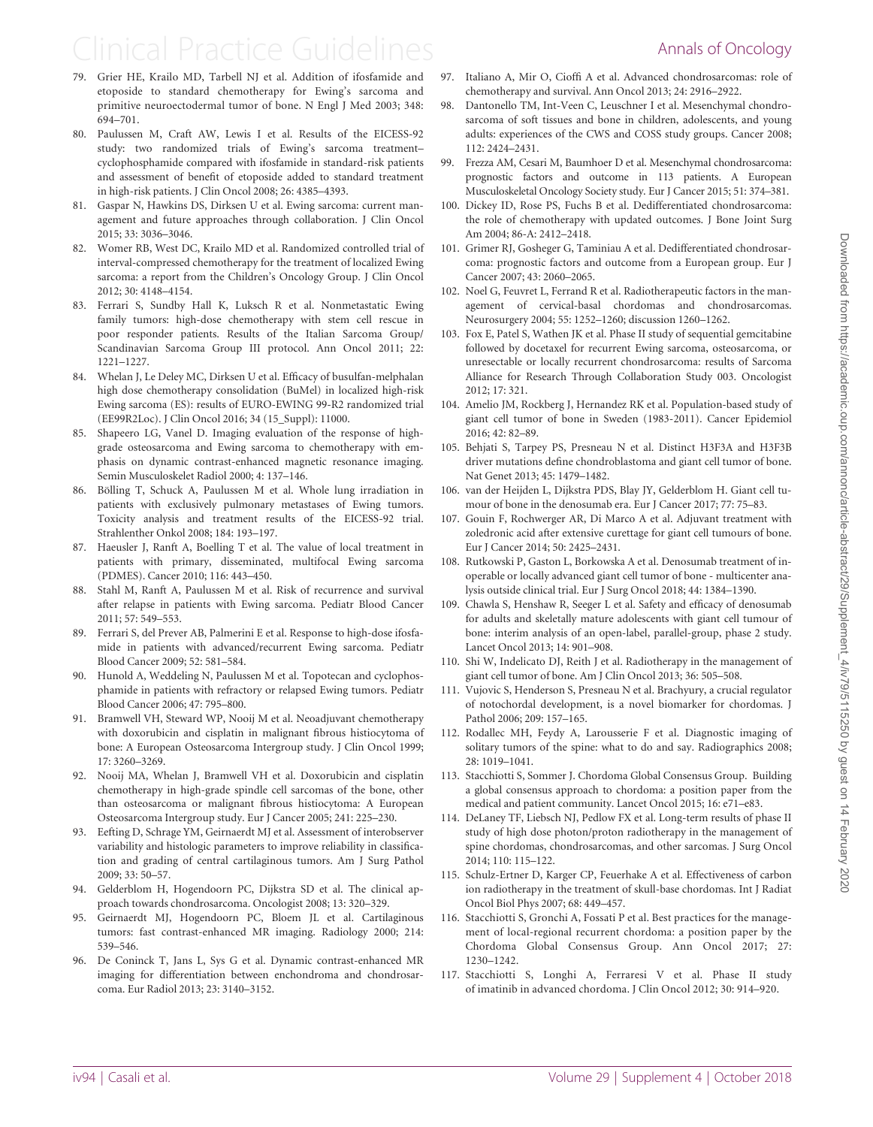- <span id="page-15-0"></span>79. Grier HE, Krailo MD, Tarbell NJ et al. Addition of ifosfamide and etoposide to standard chemotherapy for Ewing's sarcoma and primitive neuroectodermal tumor of bone. N Engl J Med 2003; 348: 694–701.
- 80. Paulussen M, Craft AW, Lewis I et al. Results of the EICESS-92 study: two randomized trials of Ewing's sarcoma treatment– cyclophosphamide compared with ifosfamide in standard-risk patients and assessment of benefit of etoposide added to standard treatment in high-risk patients. J Clin Oncol 2008; 26: 4385–4393.
- 81. Gaspar N, Hawkins DS, Dirksen U et al. Ewing sarcoma: current management and future approaches through collaboration. J Clin Oncol 2015; 33: 3036–3046.
- [82.](#page-5-0) Womer RB, West DC, Krailo MD et al. Randomized controlled trial of interval-compressed chemotherapy for the treatment of localized Ewing sarcoma: a report from the Children's Oncology Group. J Clin Oncol 2012; 30: 4148–4154.
- [83.](#page-5-0) Ferrari S, Sundby Hall K, Luksch R et al. Nonmetastatic Ewing family tumors: high-dose chemotherapy with stem cell rescue in poor responder patients. Results of the Italian Sarcoma Group/ Scandinavian Sarcoma Group III protocol. Ann Oncol 2011; 22: 1221–1227.
- [84.](#page-5-0) Whelan J, Le Deley MC, Dirksen U et al. Efficacy of busulfan-melphalan high dose chemotherapy consolidation (BuMel) in localized high-risk Ewing sarcoma (ES): results of EURO-EWING 99-R2 randomized trial (EE99R2Loc). J Clin Oncol 2016; 34 (15\_Suppl): 11000.
- [85.](#page-5-0) Shapeero LG, Vanel D. Imaging evaluation of the response of highgrade osteosarcoma and Ewing sarcoma to chemotherapy with emphasis on dynamic contrast-enhanced magnetic resonance imaging. Semin Musculoskelet Radiol 2000; 4: 137–146.
- [86.](#page-7-0) Bölling T, Schuck A, Paulussen M et al. Whole lung irradiation in patients with exclusively pulmonary metastases of Ewing tumors. Toxicity analysis and treatment results of the EICESS-92 trial. Strahlenther Onkol 2008; 184: 193–197.
- [87.](#page-7-0) Haeusler J, Ranft A, Boelling T et al. The value of local treatment in patients with primary, disseminated, multifocal Ewing sarcoma (PDMES). Cancer 2010; 116: 443–450.
- [88.](#page-7-0) Stahl M, Ranft A, Paulussen M et al. Risk of recurrence and survival after relapse in patients with Ewing sarcoma. Pediatr Blood Cancer 2011; 57: 549–553.
- [89.](#page-7-0) Ferrari S, del Prever AB, Palmerini E et al. Response to high-dose ifosfamide in patients with advanced/recurrent Ewing sarcoma. Pediatr Blood Cancer 2009; 52: 581–584.
- [90.](#page-7-0) Hunold A, Weddeling N, Paulussen M et al. Topotecan and cyclophosphamide in patients with refractory or relapsed Ewing tumors. Pediatr Blood Cancer 2006; 47: 795–800.
- [91.](#page-7-0) Bramwell VH, Steward WP, Nooij M et al. Neoadjuvant chemotherapy with doxorubicin and cisplatin in malignant fibrous histiocytoma of bone: A European Osteosarcoma Intergroup study. J Clin Oncol 1999; 17: 3260–3269.
- [92.](#page-7-0) Nooij MA, Whelan J, Bramwell VH et al. Doxorubicin and cisplatin chemotherapy in high-grade spindle cell sarcomas of the bone, other than osteosarcoma or malignant fibrous histiocytoma: A European Osteosarcoma Intergroup study. Eur J Cancer 2005; 241: 225–230.
- [93.](#page-7-0) Eefting D, Schrage YM, Geirnaerdt MJ et al. Assessment of interobserver variability and histologic parameters to improve reliability in classification and grading of central cartilaginous tumors. Am J Surg Pathol 2009; 33: 50–57.
- [94.](#page-7-0) Gelderblom H, Hogendoorn PC, Dijkstra SD et al. The clinical approach towards chondrosarcoma. Oncologist 2008; 13: 320–329.
- [95.](#page-7-0) Geirnaerdt MJ, Hogendoorn PC, Bloem JL et al. Cartilaginous tumors: fast contrast-enhanced MR imaging. Radiology 2000; 214: 539–546.
- [96.](#page-7-0) De Coninck T, Jans L, Sys G et al. Dynamic contrast-enhanced MR imaging for differentiation between enchondroma and chondrosarcoma. Eur Radiol 2013; 23: 3140–3152.
- [97.](#page-7-0) Italiano A, Mir O, Cioffi A et al. Advanced chondrosarcomas: role of chemotherapy and survival. Ann Oncol 2013; 24: 2916–2922.
- [98.](#page-8-0) Dantonello TM, Int-Veen C, Leuschner I et al. Mesenchymal chondrosarcoma of soft tissues and bone in children, adolescents, and young adults: experiences of the CWS and COSS study groups. Cancer 2008; 112: 2424–2431.
- [99.](#page-8-0) Frezza AM, Cesari M, Baumhoer D et al. Mesenchymal chondrosarcoma: prognostic factors and outcome in 113 patients. A European Musculoskeletal Oncology Society study. Eur J Cancer 2015; 51: 374–381.
- [100.](#page-8-0) Dickey ID, Rose PS, Fuchs B et al. Dedifferentiated chondrosarcoma: the role of chemotherapy with updated outcomes. J Bone Joint Surg Am 2004; 86-A: 2412–2418.
- [101.](#page-8-0) Grimer RJ, Gosheger G, Taminiau A et al. Dedifferentiated chondrosarcoma: prognostic factors and outcome from a European group. Eur J Cancer 2007; 43: 2060–2065.
- [102.](#page-8-0) Noel G, Feuvret L, Ferrand R et al. Radiotherapeutic factors in the management of cervical-basal chordomas and chondrosarcomas. Neurosurgery 2004; 55: 1252–1260; discussion 1260–1262.
- [103.](#page-8-0) Fox E, Patel S, Wathen JK et al. Phase II study of sequential gemcitabine followed by docetaxel for recurrent Ewing sarcoma, osteosarcoma, or unresectable or locally recurrent chondrosarcoma: results of Sarcoma Alliance for Research Through Collaboration Study 003. Oncologist 2012; 17: 321.
- [104.](#page-8-0) Amelio JM, Rockberg J, Hernandez RK et al. Population-based study of giant cell tumor of bone in Sweden (1983-2011). Cancer Epidemiol 2016; 42: 82–89.
- [105.](#page-8-0) Behjati S, Tarpey PS, Presneau N et al. Distinct H3F3A and H3F3B driver mutations define chondroblastoma and giant cell tumor of bone. Nat Genet 2013; 45: 1479–1482.
- [106.](#page-8-0) van der Heijden L, Dijkstra PDS, Blay JY, Gelderblom H. Giant cell tumour of bone in the denosumab era. Eur J Cancer 2017; 77: 75–83.
- [107.](#page-8-0) Gouin F, Rochwerger AR, Di Marco A et al. Adjuvant treatment with zoledronic acid after extensive curettage for giant cell tumours of bone. Eur J Cancer 2014; 50: 2425–2431.
- [108.](#page-8-0) Rutkowski P, Gaston L, Borkowska A et al. Denosumab treatment of inoperable or locally advanced giant cell tumor of bone - multicenter analysis outside clinical trial. Eur J Surg Oncol 2018; 44: 1384–1390.
- [109.](#page-8-0) Chawla S, Henshaw R, Seeger L et al. Safety and efficacy of denosumab for adults and skeletally mature adolescents with giant cell tumour of bone: interim analysis of an open-label, parallel-group, phase 2 study. Lancet Oncol 2013; 14: 901–908.
- [110.](#page-8-0) Shi W, Indelicato DJ, Reith J et al. Radiotherapy in the management of giant cell tumor of bone. Am J Clin Oncol 2013; 36: 505–508.
- [111.](#page-8-0) Vujovic S, Henderson S, Presneau N et al. Brachyury, a crucial regulator of notochordal development, is a novel biomarker for chordomas. J Pathol 2006; 209: 157–165.
- [112.](#page-8-0) Rodallec MH, Feydy A, Larousserie F et al. Diagnostic imaging of solitary tumors of the spine: what to do and say. Radiographics 2008; 28: 1019–1041.
- [113.](#page-8-0) Stacchiotti S, Sommer J. Chordoma Global Consensus Group. Building a global consensus approach to chordoma: a position paper from the medical and patient community. Lancet Oncol 2015; 16: e71–e83.
- [114.](#page-9-0) DeLaney TF, Liebsch NJ, Pedlow FX et al. Long-term results of phase II study of high dose photon/proton radiotherapy in the management of spine chordomas, chondrosarcomas, and other sarcomas. J Surg Oncol 2014; 110: 115–122.
- [115.](#page-9-0) Schulz-Ertner D, Karger CP, Feuerhake A et al. Effectiveness of carbon ion radiotherapy in the treatment of skull-base chordomas. Int J Radiat Oncol Biol Phys 2007; 68: 449–457.
- [116.](#page-9-0) Stacchiotti S, Gronchi A, Fossati P et al. Best practices for the management of local-regional recurrent chordoma: a position paper by the Chordoma Global Consensus Group. Ann Oncol 2017; 27: 1230–1242.
- 117. Stacchiotti S, Longhi A, Ferraresi V et al. Phase II study of imatinib in advanced chordoma. J Clin Oncol 2012; 30: 914–920.